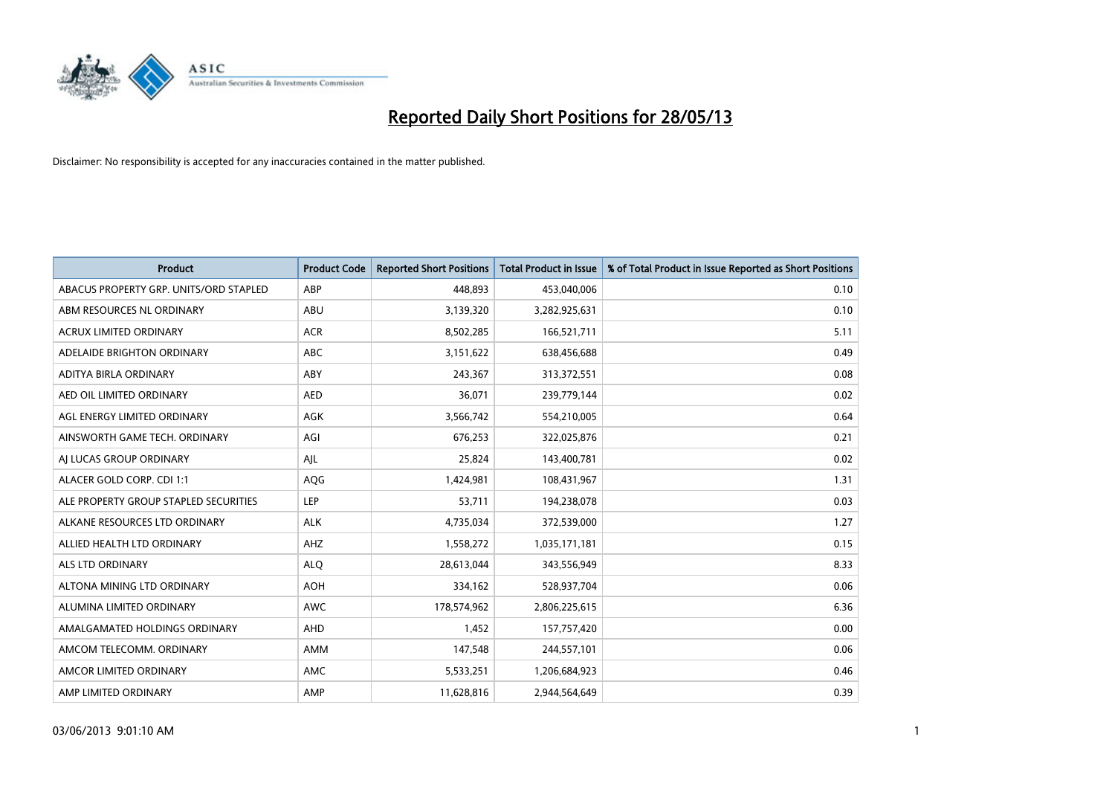

| <b>Product</b>                         | <b>Product Code</b> | <b>Reported Short Positions</b> | <b>Total Product in Issue</b> | % of Total Product in Issue Reported as Short Positions |
|----------------------------------------|---------------------|---------------------------------|-------------------------------|---------------------------------------------------------|
| ABACUS PROPERTY GRP. UNITS/ORD STAPLED | ABP                 | 448.893                         | 453,040,006                   | 0.10                                                    |
| ABM RESOURCES NL ORDINARY              | ABU                 | 3,139,320                       | 3,282,925,631                 | 0.10                                                    |
| <b>ACRUX LIMITED ORDINARY</b>          | <b>ACR</b>          | 8,502,285                       | 166,521,711                   | 5.11                                                    |
| ADELAIDE BRIGHTON ORDINARY             | <b>ABC</b>          | 3,151,622                       | 638,456,688                   | 0.49                                                    |
| ADITYA BIRLA ORDINARY                  | ABY                 | 243,367                         | 313,372,551                   | 0.08                                                    |
| AED OIL LIMITED ORDINARY               | <b>AED</b>          | 36,071                          | 239,779,144                   | 0.02                                                    |
| AGL ENERGY LIMITED ORDINARY            | AGK                 | 3,566,742                       | 554,210,005                   | 0.64                                                    |
| AINSWORTH GAME TECH. ORDINARY          | AGI                 | 676,253                         | 322,025,876                   | 0.21                                                    |
| AI LUCAS GROUP ORDINARY                | AJL                 | 25,824                          | 143,400,781                   | 0.02                                                    |
| ALACER GOLD CORP. CDI 1:1              | AQG                 | 1,424,981                       | 108,431,967                   | 1.31                                                    |
| ALE PROPERTY GROUP STAPLED SECURITIES  | <b>LEP</b>          | 53,711                          | 194,238,078                   | 0.03                                                    |
| ALKANE RESOURCES LTD ORDINARY          | <b>ALK</b>          | 4,735,034                       | 372,539,000                   | 1.27                                                    |
| ALLIED HEALTH LTD ORDINARY             | AHZ                 | 1,558,272                       | 1,035,171,181                 | 0.15                                                    |
| ALS LTD ORDINARY                       | <b>ALO</b>          | 28,613,044                      | 343,556,949                   | 8.33                                                    |
| ALTONA MINING LTD ORDINARY             | <b>AOH</b>          | 334,162                         | 528,937,704                   | 0.06                                                    |
| ALUMINA LIMITED ORDINARY               | <b>AWC</b>          | 178,574,962                     | 2,806,225,615                 | 6.36                                                    |
| AMALGAMATED HOLDINGS ORDINARY          | AHD                 | 1,452                           | 157,757,420                   | 0.00                                                    |
| AMCOM TELECOMM, ORDINARY               | AMM                 | 147,548                         | 244,557,101                   | 0.06                                                    |
| AMCOR LIMITED ORDINARY                 | AMC                 | 5,533,251                       | 1,206,684,923                 | 0.46                                                    |
| AMP LIMITED ORDINARY                   | AMP                 | 11,628,816                      | 2,944,564,649                 | 0.39                                                    |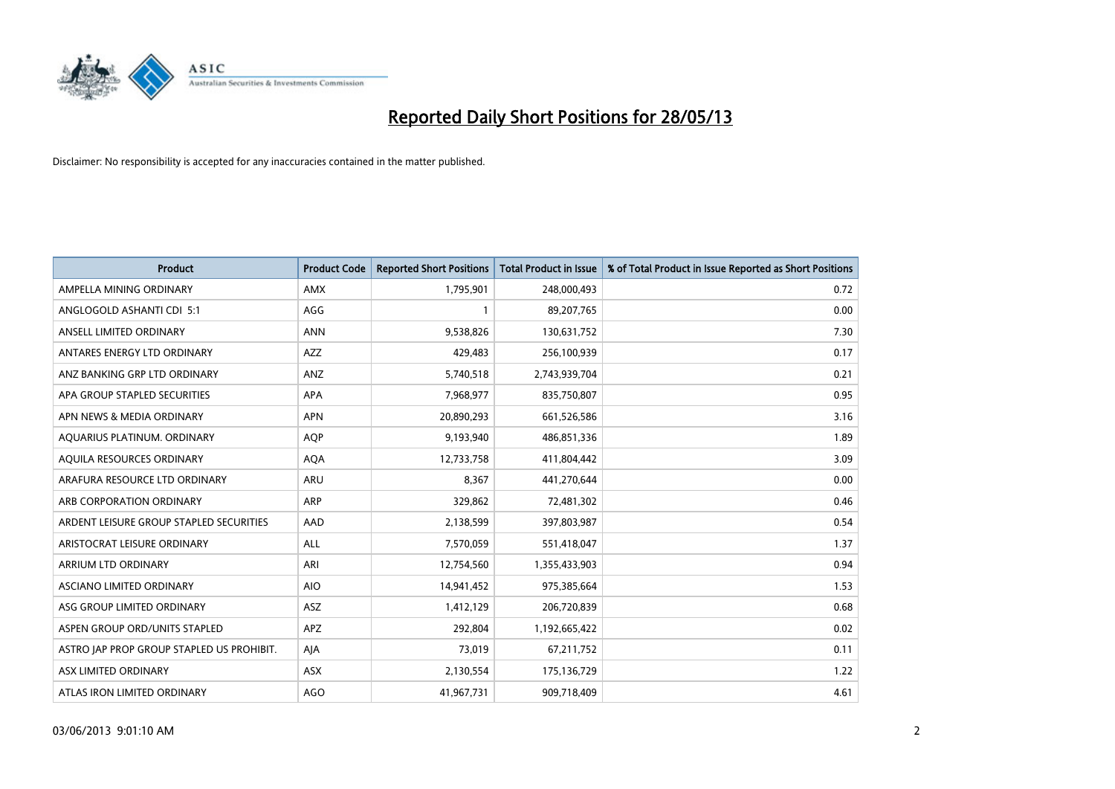

| <b>Product</b>                            | <b>Product Code</b> | <b>Reported Short Positions</b> | <b>Total Product in Issue</b> | % of Total Product in Issue Reported as Short Positions |
|-------------------------------------------|---------------------|---------------------------------|-------------------------------|---------------------------------------------------------|
| AMPELLA MINING ORDINARY                   | <b>AMX</b>          | 1,795,901                       | 248,000,493                   | 0.72                                                    |
| ANGLOGOLD ASHANTI CDI 5:1                 | AGG                 |                                 | 89,207,765                    | 0.00                                                    |
| ANSELL LIMITED ORDINARY                   | <b>ANN</b>          | 9,538,826                       | 130,631,752                   | 7.30                                                    |
| ANTARES ENERGY LTD ORDINARY               | AZZ                 | 429,483                         | 256,100,939                   | 0.17                                                    |
| ANZ BANKING GRP LTD ORDINARY              | ANZ                 | 5,740,518                       | 2,743,939,704                 | 0.21                                                    |
| APA GROUP STAPLED SECURITIES              | <b>APA</b>          | 7,968,977                       | 835,750,807                   | 0.95                                                    |
| APN NEWS & MEDIA ORDINARY                 | <b>APN</b>          | 20,890,293                      | 661,526,586                   | 3.16                                                    |
| AQUARIUS PLATINUM. ORDINARY               | <b>AOP</b>          | 9,193,940                       | 486,851,336                   | 1.89                                                    |
| AQUILA RESOURCES ORDINARY                 | <b>AQA</b>          | 12,733,758                      | 411,804,442                   | 3.09                                                    |
| ARAFURA RESOURCE LTD ORDINARY             | <b>ARU</b>          | 8,367                           | 441,270,644                   | 0.00                                                    |
| ARB CORPORATION ORDINARY                  | ARP                 | 329,862                         | 72,481,302                    | 0.46                                                    |
| ARDENT LEISURE GROUP STAPLED SECURITIES   | AAD                 | 2,138,599                       | 397,803,987                   | 0.54                                                    |
| ARISTOCRAT LEISURE ORDINARY               | ALL                 | 7,570,059                       | 551,418,047                   | 1.37                                                    |
| ARRIUM LTD ORDINARY                       | ARI                 | 12,754,560                      | 1,355,433,903                 | 0.94                                                    |
| ASCIANO LIMITED ORDINARY                  | <b>AIO</b>          | 14,941,452                      | 975,385,664                   | 1.53                                                    |
| ASG GROUP LIMITED ORDINARY                | ASZ                 | 1,412,129                       | 206,720,839                   | 0.68                                                    |
| ASPEN GROUP ORD/UNITS STAPLED             | APZ                 | 292,804                         | 1,192,665,422                 | 0.02                                                    |
| ASTRO JAP PROP GROUP STAPLED US PROHIBIT. | AJA                 | 73,019                          | 67,211,752                    | 0.11                                                    |
| ASX LIMITED ORDINARY                      | ASX                 | 2,130,554                       | 175,136,729                   | 1.22                                                    |
| ATLAS IRON LIMITED ORDINARY               | <b>AGO</b>          | 41,967,731                      | 909,718,409                   | 4.61                                                    |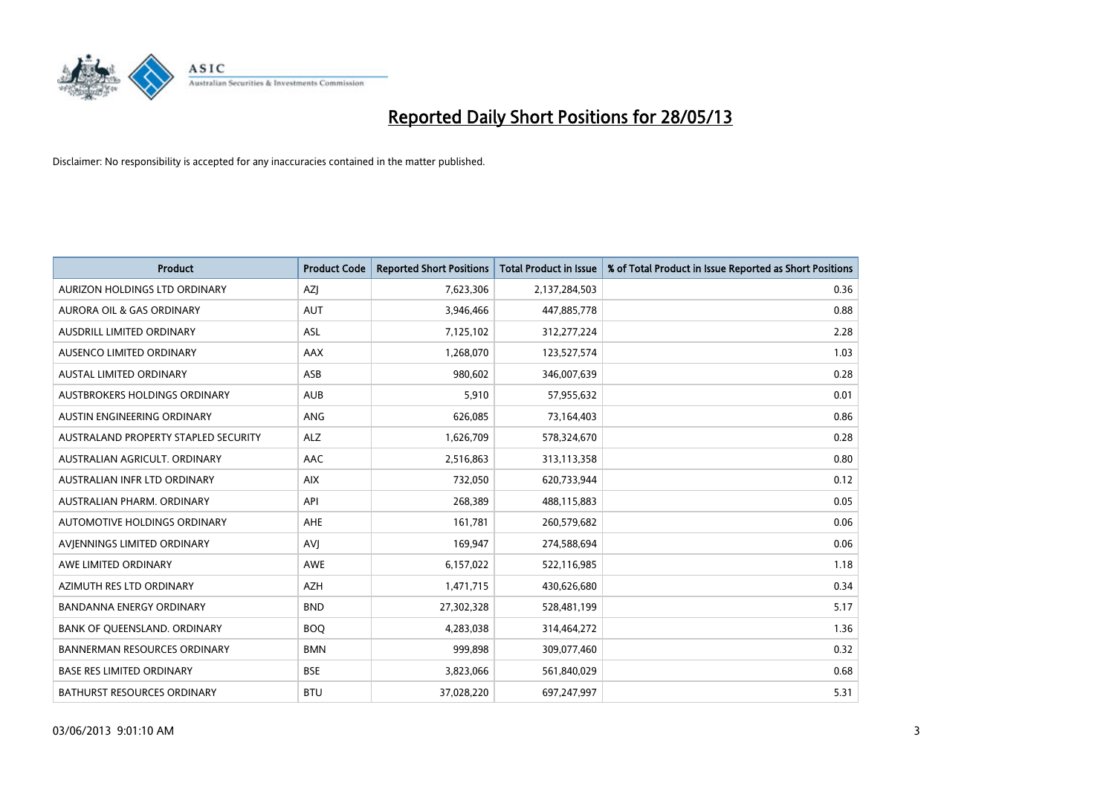

| <b>Product</b>                       | <b>Product Code</b> | <b>Reported Short Positions</b> | <b>Total Product in Issue</b> | % of Total Product in Issue Reported as Short Positions |
|--------------------------------------|---------------------|---------------------------------|-------------------------------|---------------------------------------------------------|
| AURIZON HOLDINGS LTD ORDINARY        | AZJ                 | 7,623,306                       | 2,137,284,503                 | 0.36                                                    |
| AURORA OIL & GAS ORDINARY            | <b>AUT</b>          | 3,946,466                       | 447,885,778                   | 0.88                                                    |
| AUSDRILL LIMITED ORDINARY            | ASL                 | 7,125,102                       | 312,277,224                   | 2.28                                                    |
| AUSENCO LIMITED ORDINARY             | AAX                 | 1,268,070                       | 123,527,574                   | 1.03                                                    |
| <b>AUSTAL LIMITED ORDINARY</b>       | ASB                 | 980,602                         | 346,007,639                   | 0.28                                                    |
| <b>AUSTBROKERS HOLDINGS ORDINARY</b> | <b>AUB</b>          | 5,910                           | 57,955,632                    | 0.01                                                    |
| AUSTIN ENGINEERING ORDINARY          | ANG                 | 626,085                         | 73,164,403                    | 0.86                                                    |
| AUSTRALAND PROPERTY STAPLED SECURITY | <b>ALZ</b>          | 1,626,709                       | 578,324,670                   | 0.28                                                    |
| AUSTRALIAN AGRICULT, ORDINARY        | AAC                 | 2,516,863                       | 313,113,358                   | 0.80                                                    |
| AUSTRALIAN INFR LTD ORDINARY         | <b>AIX</b>          | 732,050                         | 620,733,944                   | 0.12                                                    |
| AUSTRALIAN PHARM. ORDINARY           | API                 | 268,389                         | 488,115,883                   | 0.05                                                    |
| AUTOMOTIVE HOLDINGS ORDINARY         | AHE                 | 161,781                         | 260,579,682                   | 0.06                                                    |
| AVIENNINGS LIMITED ORDINARY          | <b>AVI</b>          | 169,947                         | 274,588,694                   | 0.06                                                    |
| AWE LIMITED ORDINARY                 | <b>AWE</b>          | 6,157,022                       | 522,116,985                   | 1.18                                                    |
| AZIMUTH RES LTD ORDINARY             | <b>AZH</b>          | 1,471,715                       | 430,626,680                   | 0.34                                                    |
| BANDANNA ENERGY ORDINARY             | <b>BND</b>          | 27,302,328                      | 528,481,199                   | 5.17                                                    |
| BANK OF QUEENSLAND. ORDINARY         | <b>BOQ</b>          | 4,283,038                       | 314,464,272                   | 1.36                                                    |
| BANNERMAN RESOURCES ORDINARY         | <b>BMN</b>          | 999,898                         | 309,077,460                   | 0.32                                                    |
| <b>BASE RES LIMITED ORDINARY</b>     | <b>BSE</b>          | 3,823,066                       | 561,840,029                   | 0.68                                                    |
| BATHURST RESOURCES ORDINARY          | <b>BTU</b>          | 37,028,220                      | 697,247,997                   | 5.31                                                    |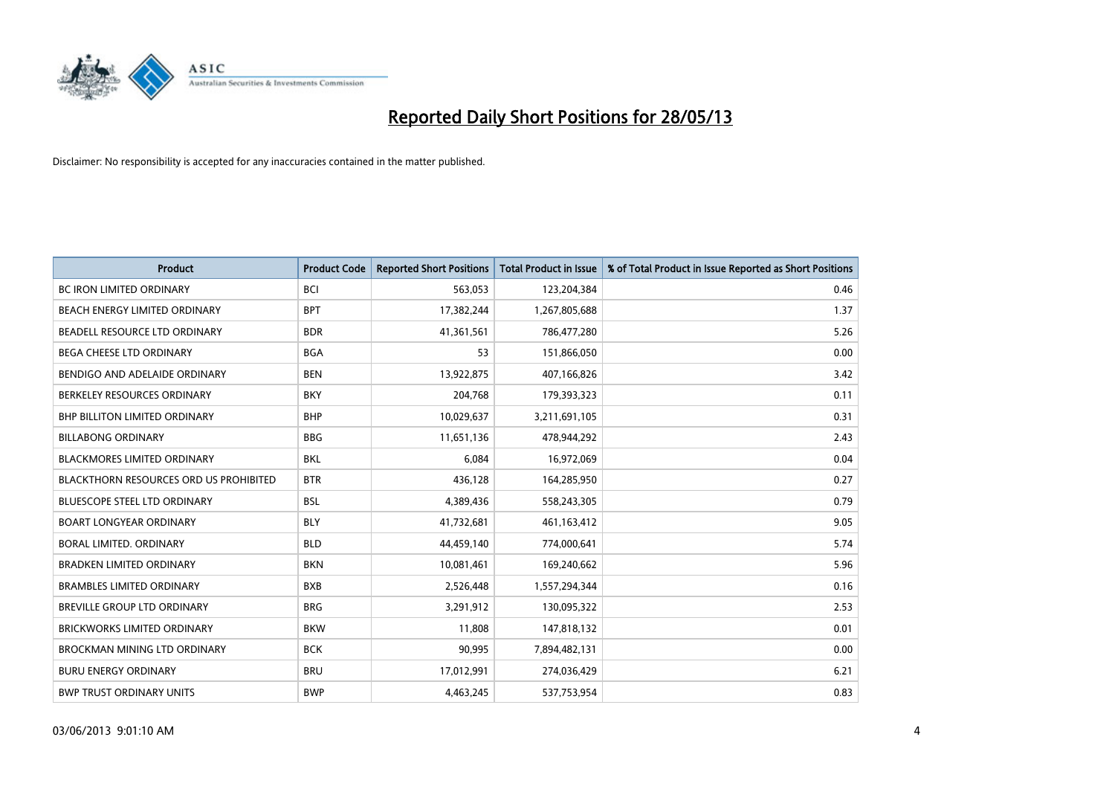

| <b>Product</b>                                | <b>Product Code</b> | <b>Reported Short Positions</b> | <b>Total Product in Issue</b> | % of Total Product in Issue Reported as Short Positions |
|-----------------------------------------------|---------------------|---------------------------------|-------------------------------|---------------------------------------------------------|
| <b>BC IRON LIMITED ORDINARY</b>               | <b>BCI</b>          | 563,053                         | 123,204,384                   | 0.46                                                    |
| BEACH ENERGY LIMITED ORDINARY                 | <b>BPT</b>          | 17,382,244                      | 1,267,805,688                 | 1.37                                                    |
| BEADELL RESOURCE LTD ORDINARY                 | <b>BDR</b>          | 41,361,561                      | 786,477,280                   | 5.26                                                    |
| <b>BEGA CHEESE LTD ORDINARY</b>               | <b>BGA</b>          | 53                              | 151,866,050                   | 0.00                                                    |
| BENDIGO AND ADELAIDE ORDINARY                 | <b>BEN</b>          | 13,922,875                      | 407,166,826                   | 3.42                                                    |
| BERKELEY RESOURCES ORDINARY                   | <b>BKY</b>          | 204,768                         | 179,393,323                   | 0.11                                                    |
| <b>BHP BILLITON LIMITED ORDINARY</b>          | <b>BHP</b>          | 10,029,637                      | 3,211,691,105                 | 0.31                                                    |
| <b>BILLABONG ORDINARY</b>                     | <b>BBG</b>          | 11,651,136                      | 478,944,292                   | 2.43                                                    |
| <b>BLACKMORES LIMITED ORDINARY</b>            | <b>BKL</b>          | 6.084                           | 16,972,069                    | 0.04                                                    |
| <b>BLACKTHORN RESOURCES ORD US PROHIBITED</b> | <b>BTR</b>          | 436,128                         | 164,285,950                   | 0.27                                                    |
| BLUESCOPE STEEL LTD ORDINARY                  | <b>BSL</b>          | 4,389,436                       | 558,243,305                   | 0.79                                                    |
| <b>BOART LONGYEAR ORDINARY</b>                | <b>BLY</b>          | 41,732,681                      | 461,163,412                   | 9.05                                                    |
| <b>BORAL LIMITED, ORDINARY</b>                | <b>BLD</b>          | 44,459,140                      | 774,000,641                   | 5.74                                                    |
| <b>BRADKEN LIMITED ORDINARY</b>               | <b>BKN</b>          | 10,081,461                      | 169,240,662                   | 5.96                                                    |
| <b>BRAMBLES LIMITED ORDINARY</b>              | <b>BXB</b>          | 2,526,448                       | 1,557,294,344                 | 0.16                                                    |
| BREVILLE GROUP LTD ORDINARY                   | <b>BRG</b>          | 3,291,912                       | 130,095,322                   | 2.53                                                    |
| BRICKWORKS LIMITED ORDINARY                   | <b>BKW</b>          | 11,808                          | 147,818,132                   | 0.01                                                    |
| BROCKMAN MINING LTD ORDINARY                  | <b>BCK</b>          | 90,995                          | 7,894,482,131                 | 0.00                                                    |
| <b>BURU ENERGY ORDINARY</b>                   | <b>BRU</b>          | 17,012,991                      | 274,036,429                   | 6.21                                                    |
| <b>BWP TRUST ORDINARY UNITS</b>               | <b>BWP</b>          | 4,463,245                       | 537,753,954                   | 0.83                                                    |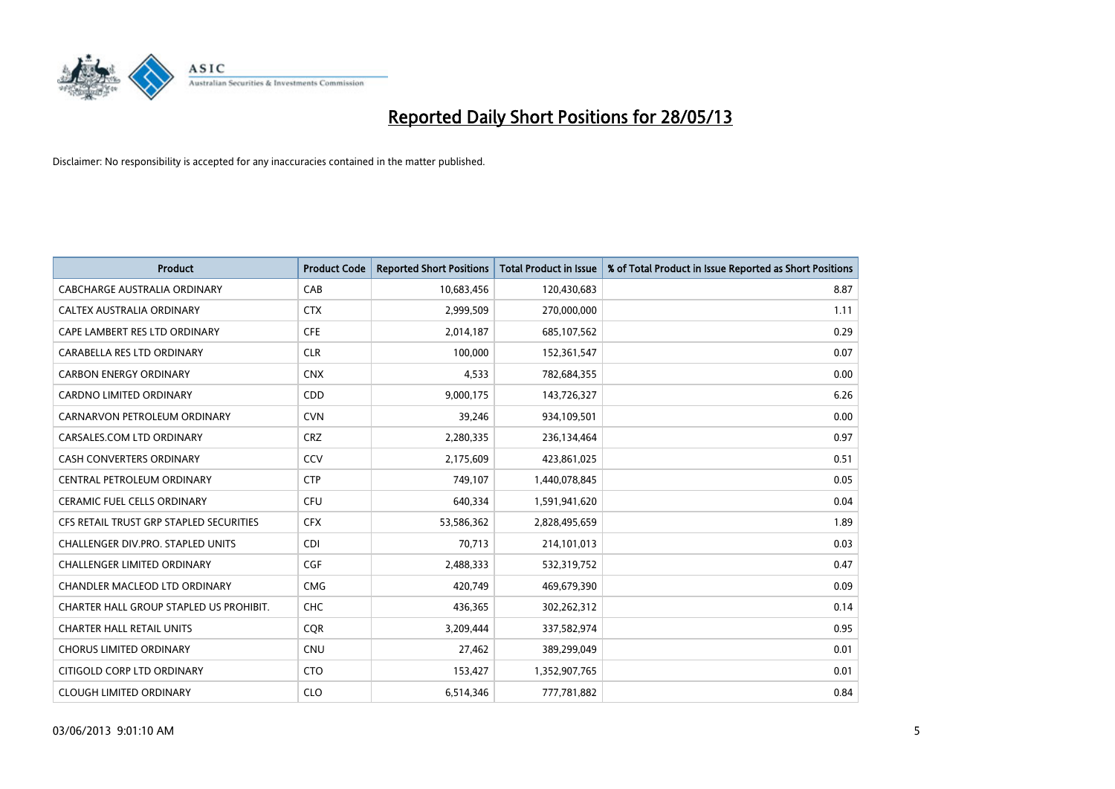

| <b>Product</b>                          | <b>Product Code</b> | <b>Reported Short Positions</b> | <b>Total Product in Issue</b> | % of Total Product in Issue Reported as Short Positions |
|-----------------------------------------|---------------------|---------------------------------|-------------------------------|---------------------------------------------------------|
| <b>CABCHARGE AUSTRALIA ORDINARY</b>     | CAB                 | 10,683,456                      | 120,430,683                   | 8.87                                                    |
| CALTEX AUSTRALIA ORDINARY               | <b>CTX</b>          | 2,999,509                       | 270,000,000                   | 1.11                                                    |
| CAPE LAMBERT RES LTD ORDINARY           | <b>CFE</b>          | 2,014,187                       | 685,107,562                   | 0.29                                                    |
| CARABELLA RES LTD ORDINARY              | <b>CLR</b>          | 100,000                         | 152,361,547                   | 0.07                                                    |
| <b>CARBON ENERGY ORDINARY</b>           | <b>CNX</b>          | 4,533                           | 782,684,355                   | 0.00                                                    |
| <b>CARDNO LIMITED ORDINARY</b>          | CDD                 | 9,000,175                       | 143,726,327                   | 6.26                                                    |
| CARNARVON PETROLEUM ORDINARY            | <b>CVN</b>          | 39.246                          | 934,109,501                   | 0.00                                                    |
| CARSALES.COM LTD ORDINARY               | <b>CRZ</b>          | 2,280,335                       | 236,134,464                   | 0.97                                                    |
| CASH CONVERTERS ORDINARY                | CCV                 | 2,175,609                       | 423,861,025                   | 0.51                                                    |
| CENTRAL PETROLEUM ORDINARY              | <b>CTP</b>          | 749,107                         | 1,440,078,845                 | 0.05                                                    |
| <b>CERAMIC FUEL CELLS ORDINARY</b>      | <b>CFU</b>          | 640,334                         | 1,591,941,620                 | 0.04                                                    |
| CFS RETAIL TRUST GRP STAPLED SECURITIES | <b>CFX</b>          | 53,586,362                      | 2,828,495,659                 | 1.89                                                    |
| CHALLENGER DIV.PRO. STAPLED UNITS       | <b>CDI</b>          | 70,713                          | 214,101,013                   | 0.03                                                    |
| <b>CHALLENGER LIMITED ORDINARY</b>      | <b>CGF</b>          | 2,488,333                       | 532,319,752                   | 0.47                                                    |
| CHANDLER MACLEOD LTD ORDINARY           | <b>CMG</b>          | 420,749                         | 469,679,390                   | 0.09                                                    |
| CHARTER HALL GROUP STAPLED US PROHIBIT. | <b>CHC</b>          | 436,365                         | 302,262,312                   | 0.14                                                    |
| <b>CHARTER HALL RETAIL UNITS</b>        | <b>CQR</b>          | 3,209,444                       | 337,582,974                   | 0.95                                                    |
| <b>CHORUS LIMITED ORDINARY</b>          | <b>CNU</b>          | 27,462                          | 389,299,049                   | 0.01                                                    |
| CITIGOLD CORP LTD ORDINARY              | <b>CTO</b>          | 153,427                         | 1,352,907,765                 | 0.01                                                    |
| <b>CLOUGH LIMITED ORDINARY</b>          | <b>CLO</b>          | 6,514,346                       | 777,781,882                   | 0.84                                                    |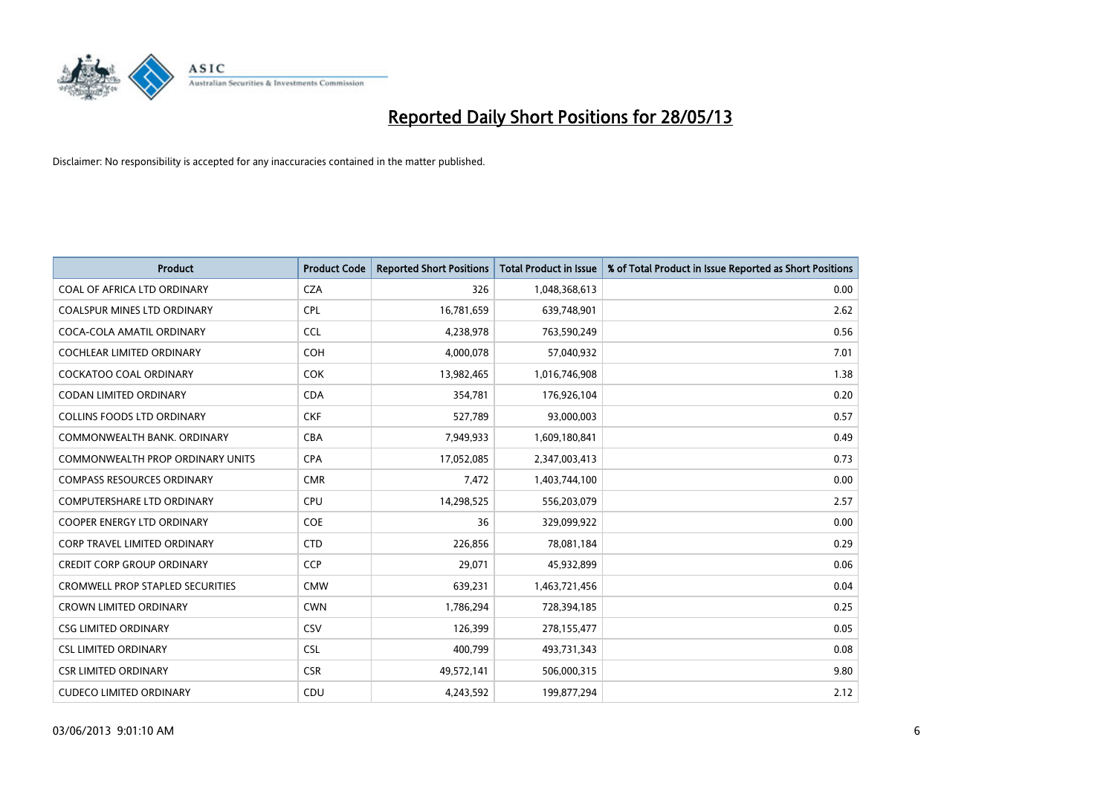

| <b>Product</b>                          | <b>Product Code</b> | <b>Reported Short Positions</b> | <b>Total Product in Issue</b> | % of Total Product in Issue Reported as Short Positions |
|-----------------------------------------|---------------------|---------------------------------|-------------------------------|---------------------------------------------------------|
| COAL OF AFRICA LTD ORDINARY             | <b>CZA</b>          | 326                             | 1,048,368,613                 | 0.00                                                    |
| COALSPUR MINES LTD ORDINARY             | <b>CPL</b>          | 16,781,659                      | 639,748,901                   | 2.62                                                    |
| COCA-COLA AMATIL ORDINARY               | <b>CCL</b>          | 4,238,978                       | 763,590,249                   | 0.56                                                    |
| COCHLEAR LIMITED ORDINARY               | <b>COH</b>          | 4,000,078                       | 57,040,932                    | 7.01                                                    |
| <b>COCKATOO COAL ORDINARY</b>           | <b>COK</b>          | 13,982,465                      | 1,016,746,908                 | 1.38                                                    |
| <b>CODAN LIMITED ORDINARY</b>           | <b>CDA</b>          | 354,781                         | 176,926,104                   | 0.20                                                    |
| <b>COLLINS FOODS LTD ORDINARY</b>       | <b>CKF</b>          | 527,789                         | 93,000,003                    | 0.57                                                    |
| COMMONWEALTH BANK, ORDINARY             | <b>CBA</b>          | 7,949,933                       | 1,609,180,841                 | 0.49                                                    |
| <b>COMMONWEALTH PROP ORDINARY UNITS</b> | <b>CPA</b>          | 17,052,085                      | 2,347,003,413                 | 0.73                                                    |
| <b>COMPASS RESOURCES ORDINARY</b>       | <b>CMR</b>          | 7,472                           | 1,403,744,100                 | 0.00                                                    |
| COMPUTERSHARE LTD ORDINARY              | <b>CPU</b>          | 14,298,525                      | 556,203,079                   | 2.57                                                    |
| <b>COOPER ENERGY LTD ORDINARY</b>       | <b>COE</b>          | 36                              | 329,099,922                   | 0.00                                                    |
| CORP TRAVEL LIMITED ORDINARY            | <b>CTD</b>          | 226,856                         | 78,081,184                    | 0.29                                                    |
| <b>CREDIT CORP GROUP ORDINARY</b>       | <b>CCP</b>          | 29,071                          | 45,932,899                    | 0.06                                                    |
| <b>CROMWELL PROP STAPLED SECURITIES</b> | <b>CMW</b>          | 639,231                         | 1,463,721,456                 | 0.04                                                    |
| <b>CROWN LIMITED ORDINARY</b>           | <b>CWN</b>          | 1,786,294                       | 728,394,185                   | 0.25                                                    |
| <b>CSG LIMITED ORDINARY</b>             | <b>CSV</b>          | 126,399                         | 278,155,477                   | 0.05                                                    |
| <b>CSL LIMITED ORDINARY</b>             | <b>CSL</b>          | 400,799                         | 493,731,343                   | 0.08                                                    |
| <b>CSR LIMITED ORDINARY</b>             | <b>CSR</b>          | 49,572,141                      | 506,000,315                   | 9.80                                                    |
| <b>CUDECO LIMITED ORDINARY</b>          | CDU                 | 4,243,592                       | 199,877,294                   | 2.12                                                    |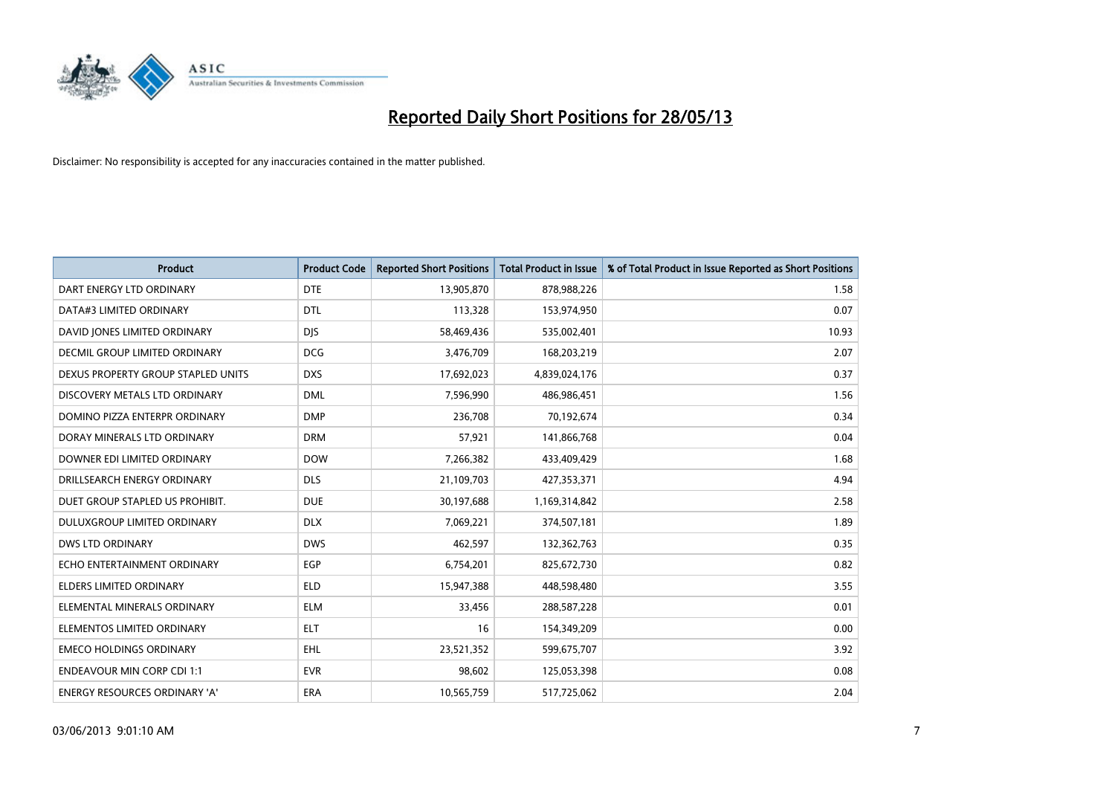

| <b>Product</b>                       | <b>Product Code</b> | <b>Reported Short Positions</b> | <b>Total Product in Issue</b> | % of Total Product in Issue Reported as Short Positions |
|--------------------------------------|---------------------|---------------------------------|-------------------------------|---------------------------------------------------------|
| DART ENERGY LTD ORDINARY             | <b>DTE</b>          | 13,905,870                      | 878,988,226                   | 1.58                                                    |
| DATA#3 LIMITED ORDINARY              | <b>DTL</b>          | 113,328                         | 153,974,950                   | 0.07                                                    |
| DAVID JONES LIMITED ORDINARY         | <b>DJS</b>          | 58,469,436                      | 535,002,401                   | 10.93                                                   |
| <b>DECMIL GROUP LIMITED ORDINARY</b> | <b>DCG</b>          | 3,476,709                       | 168,203,219                   | 2.07                                                    |
| DEXUS PROPERTY GROUP STAPLED UNITS   | <b>DXS</b>          | 17,692,023                      | 4,839,024,176                 | 0.37                                                    |
| DISCOVERY METALS LTD ORDINARY        | <b>DML</b>          | 7,596,990                       | 486,986,451                   | 1.56                                                    |
| DOMINO PIZZA ENTERPR ORDINARY        | <b>DMP</b>          | 236,708                         | 70,192,674                    | 0.34                                                    |
| DORAY MINERALS LTD ORDINARY          | <b>DRM</b>          | 57,921                          | 141,866,768                   | 0.04                                                    |
| DOWNER EDI LIMITED ORDINARY          | <b>DOW</b>          | 7,266,382                       | 433,409,429                   | 1.68                                                    |
| DRILLSEARCH ENERGY ORDINARY          | <b>DLS</b>          | 21,109,703                      | 427,353,371                   | 4.94                                                    |
| DUET GROUP STAPLED US PROHIBIT.      | <b>DUE</b>          | 30,197,688                      | 1,169,314,842                 | 2.58                                                    |
| <b>DULUXGROUP LIMITED ORDINARY</b>   | <b>DLX</b>          | 7,069,221                       | 374,507,181                   | 1.89                                                    |
| <b>DWS LTD ORDINARY</b>              | <b>DWS</b>          | 462,597                         | 132,362,763                   | 0.35                                                    |
| ECHO ENTERTAINMENT ORDINARY          | <b>EGP</b>          | 6,754,201                       | 825,672,730                   | 0.82                                                    |
| <b>ELDERS LIMITED ORDINARY</b>       | <b>ELD</b>          | 15,947,388                      | 448,598,480                   | 3.55                                                    |
| ELEMENTAL MINERALS ORDINARY          | <b>ELM</b>          | 33,456                          | 288,587,228                   | 0.01                                                    |
| ELEMENTOS LIMITED ORDINARY           | ELT                 | 16                              | 154,349,209                   | 0.00                                                    |
| <b>EMECO HOLDINGS ORDINARY</b>       | <b>EHL</b>          | 23,521,352                      | 599,675,707                   | 3.92                                                    |
| <b>ENDEAVOUR MIN CORP CDI 1:1</b>    | <b>EVR</b>          | 98,602                          | 125,053,398                   | 0.08                                                    |
| ENERGY RESOURCES ORDINARY 'A'        | ERA                 | 10,565,759                      | 517,725,062                   | 2.04                                                    |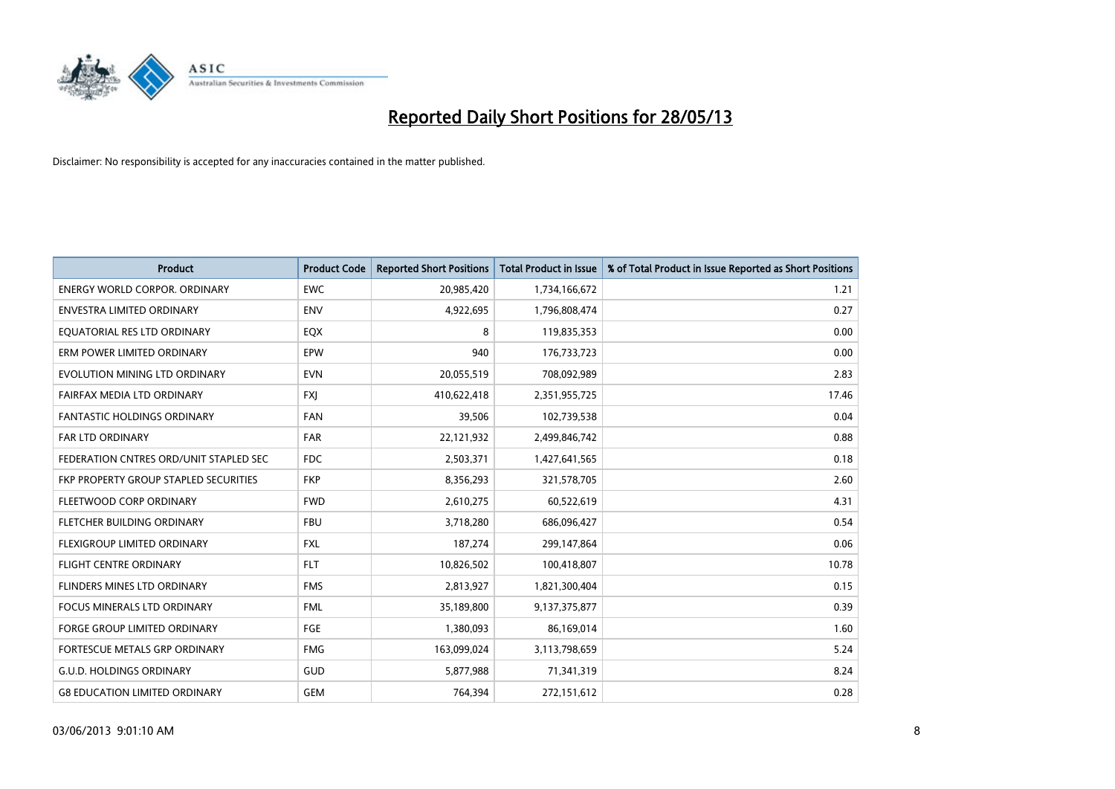

| <b>Product</b>                         | <b>Product Code</b> | <b>Reported Short Positions</b> | <b>Total Product in Issue</b> | % of Total Product in Issue Reported as Short Positions |
|----------------------------------------|---------------------|---------------------------------|-------------------------------|---------------------------------------------------------|
| <b>ENERGY WORLD CORPOR, ORDINARY</b>   | <b>EWC</b>          | 20,985,420                      | 1,734,166,672                 | 1.21                                                    |
| ENVESTRA LIMITED ORDINARY              | <b>ENV</b>          | 4,922,695                       | 1,796,808,474                 | 0.27                                                    |
| EQUATORIAL RES LTD ORDINARY            | EQX                 | 8                               | 119,835,353                   | 0.00                                                    |
| ERM POWER LIMITED ORDINARY             | EPW                 | 940                             | 176,733,723                   | 0.00                                                    |
| EVOLUTION MINING LTD ORDINARY          | <b>EVN</b>          | 20,055,519                      | 708,092,989                   | 2.83                                                    |
| FAIRFAX MEDIA LTD ORDINARY             | <b>FXI</b>          | 410,622,418                     | 2,351,955,725                 | 17.46                                                   |
| <b>FANTASTIC HOLDINGS ORDINARY</b>     | FAN                 | 39,506                          | 102,739,538                   | 0.04                                                    |
| FAR LTD ORDINARY                       | <b>FAR</b>          | 22,121,932                      | 2,499,846,742                 | 0.88                                                    |
| FEDERATION CNTRES ORD/UNIT STAPLED SEC | <b>FDC</b>          | 2,503,371                       | 1,427,641,565                 | 0.18                                                    |
| FKP PROPERTY GROUP STAPLED SECURITIES  | <b>FKP</b>          | 8,356,293                       | 321,578,705                   | 2.60                                                    |
| FLEETWOOD CORP ORDINARY                | <b>FWD</b>          | 2,610,275                       | 60,522,619                    | 4.31                                                    |
| FLETCHER BUILDING ORDINARY             | <b>FBU</b>          | 3,718,280                       | 686,096,427                   | 0.54                                                    |
| FLEXIGROUP LIMITED ORDINARY            | <b>FXL</b>          | 187,274                         | 299,147,864                   | 0.06                                                    |
| <b>FLIGHT CENTRE ORDINARY</b>          | <b>FLT</b>          | 10,826,502                      | 100,418,807                   | 10.78                                                   |
| FLINDERS MINES LTD ORDINARY            | <b>FMS</b>          | 2,813,927                       | 1,821,300,404                 | 0.15                                                    |
| FOCUS MINERALS LTD ORDINARY            | <b>FML</b>          | 35,189,800                      | 9,137,375,877                 | 0.39                                                    |
| FORGE GROUP LIMITED ORDINARY           | FGE                 | 1,380,093                       | 86,169,014                    | 1.60                                                    |
| FORTESCUE METALS GRP ORDINARY          | <b>FMG</b>          | 163,099,024                     | 3,113,798,659                 | 5.24                                                    |
| <b>G.U.D. HOLDINGS ORDINARY</b>        | GUD                 | 5,877,988                       | 71,341,319                    | 8.24                                                    |
| <b>G8 EDUCATION LIMITED ORDINARY</b>   | <b>GEM</b>          | 764,394                         | 272,151,612                   | 0.28                                                    |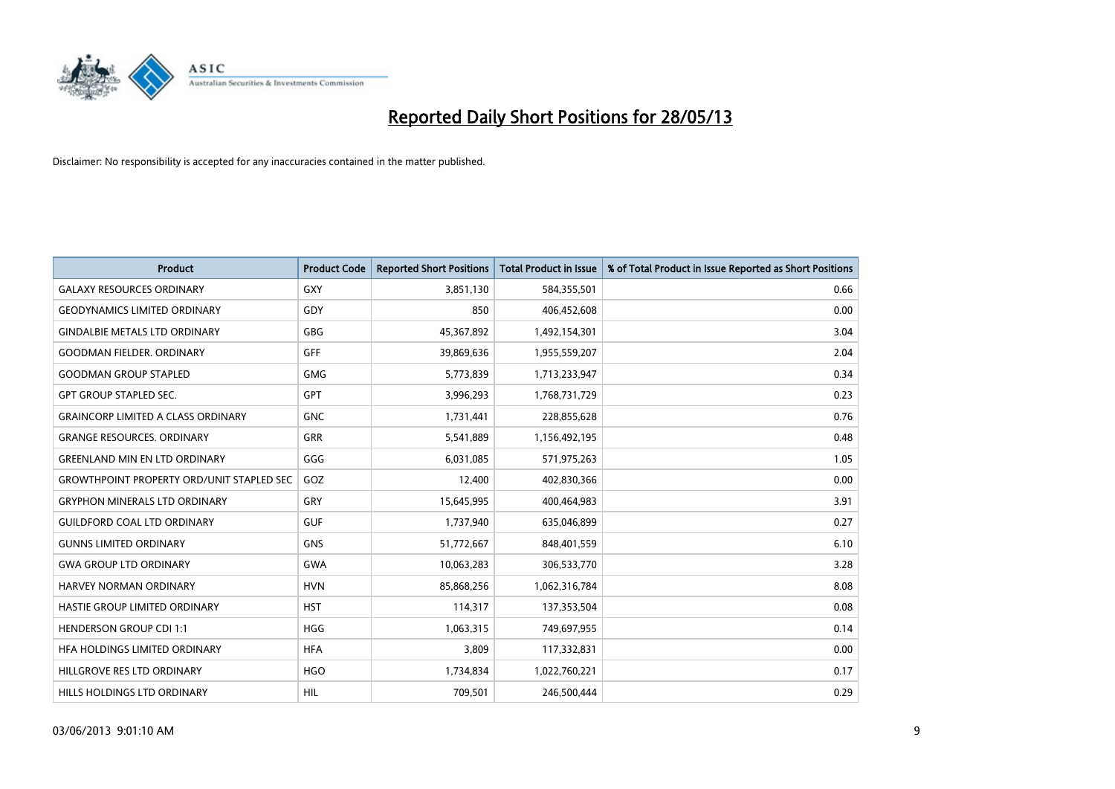

| <b>Product</b>                                   | <b>Product Code</b> | <b>Reported Short Positions</b> | <b>Total Product in Issue</b> | % of Total Product in Issue Reported as Short Positions |
|--------------------------------------------------|---------------------|---------------------------------|-------------------------------|---------------------------------------------------------|
| <b>GALAXY RESOURCES ORDINARY</b>                 | GXY                 | 3,851,130                       | 584,355,501                   | 0.66                                                    |
| <b>GEODYNAMICS LIMITED ORDINARY</b>              | GDY                 | 850                             | 406,452,608                   | 0.00                                                    |
| <b>GINDALBIE METALS LTD ORDINARY</b>             | <b>GBG</b>          | 45,367,892                      | 1,492,154,301                 | 3.04                                                    |
| <b>GOODMAN FIELDER, ORDINARY</b>                 | GFF                 | 39,869,636                      | 1,955,559,207                 | 2.04                                                    |
| <b>GOODMAN GROUP STAPLED</b>                     | <b>GMG</b>          | 5,773,839                       | 1,713,233,947                 | 0.34                                                    |
| <b>GPT GROUP STAPLED SEC.</b>                    | <b>GPT</b>          | 3,996,293                       | 1,768,731,729                 | 0.23                                                    |
| <b>GRAINCORP LIMITED A CLASS ORDINARY</b>        | <b>GNC</b>          | 1,731,441                       | 228,855,628                   | 0.76                                                    |
| <b>GRANGE RESOURCES. ORDINARY</b>                | GRR                 | 5,541,889                       | 1,156,492,195                 | 0.48                                                    |
| <b>GREENLAND MIN EN LTD ORDINARY</b>             | GGG                 | 6,031,085                       | 571,975,263                   | 1.05                                                    |
| <b>GROWTHPOINT PROPERTY ORD/UNIT STAPLED SEC</b> | GOZ                 | 12,400                          | 402,830,366                   | 0.00                                                    |
| <b>GRYPHON MINERALS LTD ORDINARY</b>             | GRY                 | 15,645,995                      | 400,464,983                   | 3.91                                                    |
| <b>GUILDFORD COAL LTD ORDINARY</b>               | <b>GUF</b>          | 1,737,940                       | 635,046,899                   | 0.27                                                    |
| <b>GUNNS LIMITED ORDINARY</b>                    | <b>GNS</b>          | 51,772,667                      | 848,401,559                   | 6.10                                                    |
| <b>GWA GROUP LTD ORDINARY</b>                    | <b>GWA</b>          | 10,063,283                      | 306,533,770                   | 3.28                                                    |
| HARVEY NORMAN ORDINARY                           | <b>HVN</b>          | 85,868,256                      | 1,062,316,784                 | 8.08                                                    |
| HASTIE GROUP LIMITED ORDINARY                    | <b>HST</b>          | 114,317                         | 137,353,504                   | 0.08                                                    |
| <b>HENDERSON GROUP CDI 1:1</b>                   | <b>HGG</b>          | 1,063,315                       | 749,697,955                   | 0.14                                                    |
| HFA HOLDINGS LIMITED ORDINARY                    | <b>HFA</b>          | 3,809                           | 117,332,831                   | 0.00                                                    |
| HILLGROVE RES LTD ORDINARY                       | <b>HGO</b>          | 1,734,834                       | 1,022,760,221                 | 0.17                                                    |
| HILLS HOLDINGS LTD ORDINARY                      | <b>HIL</b>          | 709,501                         | 246,500,444                   | 0.29                                                    |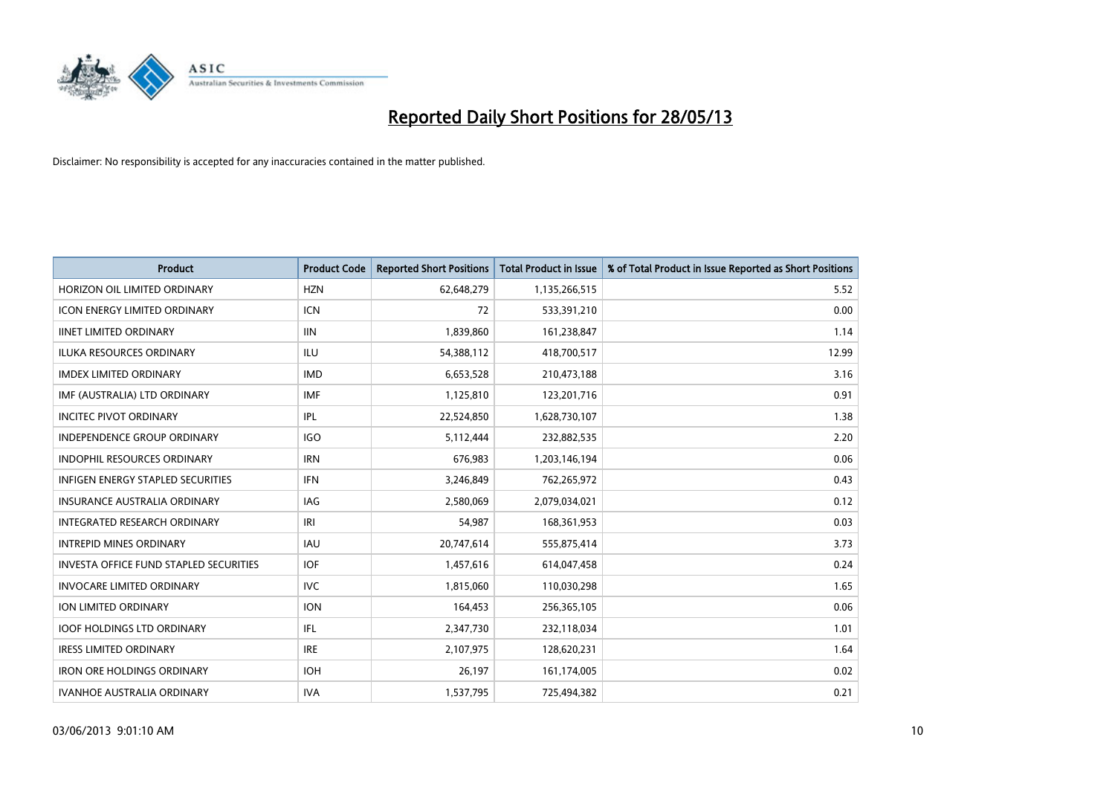

| <b>Product</b>                                | <b>Product Code</b> | <b>Reported Short Positions</b> | <b>Total Product in Issue</b> | % of Total Product in Issue Reported as Short Positions |
|-----------------------------------------------|---------------------|---------------------------------|-------------------------------|---------------------------------------------------------|
| HORIZON OIL LIMITED ORDINARY                  | <b>HZN</b>          | 62,648,279                      | 1,135,266,515                 | 5.52                                                    |
| <b>ICON ENERGY LIMITED ORDINARY</b>           | ICN                 | 72                              | 533,391,210                   | 0.00                                                    |
| <b>IINET LIMITED ORDINARY</b>                 | <b>IIN</b>          | 1,839,860                       | 161,238,847                   | 1.14                                                    |
| ILUKA RESOURCES ORDINARY                      | ILU                 | 54,388,112                      | 418,700,517                   | 12.99                                                   |
| <b>IMDEX LIMITED ORDINARY</b>                 | <b>IMD</b>          | 6,653,528                       | 210,473,188                   | 3.16                                                    |
| IMF (AUSTRALIA) LTD ORDINARY                  | <b>IMF</b>          | 1,125,810                       | 123,201,716                   | 0.91                                                    |
| <b>INCITEC PIVOT ORDINARY</b>                 | IPL                 | 22,524,850                      | 1,628,730,107                 | 1.38                                                    |
| INDEPENDENCE GROUP ORDINARY                   | <b>IGO</b>          | 5,112,444                       | 232,882,535                   | 2.20                                                    |
| <b>INDOPHIL RESOURCES ORDINARY</b>            | <b>IRN</b>          | 676,983                         | 1,203,146,194                 | 0.06                                                    |
| <b>INFIGEN ENERGY STAPLED SECURITIES</b>      | <b>IFN</b>          | 3,246,849                       | 762,265,972                   | 0.43                                                    |
| INSURANCE AUSTRALIA ORDINARY                  | <b>IAG</b>          | 2,580,069                       | 2,079,034,021                 | 0.12                                                    |
| INTEGRATED RESEARCH ORDINARY                  | IRI                 | 54,987                          | 168,361,953                   | 0.03                                                    |
| <b>INTREPID MINES ORDINARY</b>                | <b>IAU</b>          | 20,747,614                      | 555,875,414                   | 3.73                                                    |
| <b>INVESTA OFFICE FUND STAPLED SECURITIES</b> | <b>IOF</b>          | 1,457,616                       | 614,047,458                   | 0.24                                                    |
| <b>INVOCARE LIMITED ORDINARY</b>              | <b>IVC</b>          | 1,815,060                       | 110,030,298                   | 1.65                                                    |
| ION LIMITED ORDINARY                          | <b>ION</b>          | 164,453                         | 256,365,105                   | 0.06                                                    |
| <b>IOOF HOLDINGS LTD ORDINARY</b>             | IFL                 | 2,347,730                       | 232,118,034                   | 1.01                                                    |
| <b>IRESS LIMITED ORDINARY</b>                 | <b>IRE</b>          | 2,107,975                       | 128,620,231                   | 1.64                                                    |
| <b>IRON ORE HOLDINGS ORDINARY</b>             | <b>IOH</b>          | 26,197                          | 161,174,005                   | 0.02                                                    |
| <b>IVANHOE AUSTRALIA ORDINARY</b>             | <b>IVA</b>          | 1,537,795                       | 725,494,382                   | 0.21                                                    |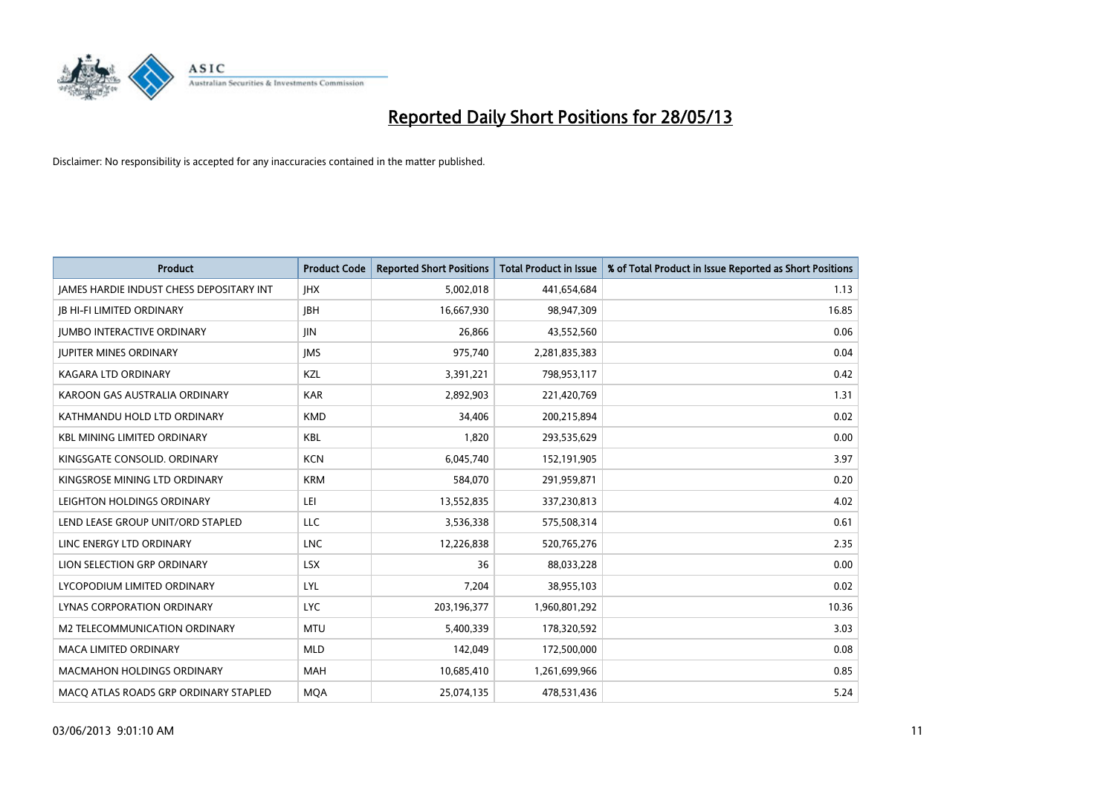

| <b>Product</b>                           | <b>Product Code</b> | <b>Reported Short Positions</b> | <b>Total Product in Issue</b> | % of Total Product in Issue Reported as Short Positions |
|------------------------------------------|---------------------|---------------------------------|-------------------------------|---------------------------------------------------------|
| JAMES HARDIE INDUST CHESS DEPOSITARY INT | <b>IHX</b>          | 5,002,018                       | 441,654,684                   | 1.13                                                    |
| <b>JB HI-FI LIMITED ORDINARY</b>         | <b>IBH</b>          | 16,667,930                      | 98,947,309                    | 16.85                                                   |
| <b>JUMBO INTERACTIVE ORDINARY</b>        | <b>JIN</b>          | 26,866                          | 43,552,560                    | 0.06                                                    |
| <b>JUPITER MINES ORDINARY</b>            | <b>IMS</b>          | 975,740                         | 2,281,835,383                 | 0.04                                                    |
| <b>KAGARA LTD ORDINARY</b>               | KZL                 | 3,391,221                       | 798,953,117                   | 0.42                                                    |
| KAROON GAS AUSTRALIA ORDINARY            | <b>KAR</b>          | 2,892,903                       | 221,420,769                   | 1.31                                                    |
| KATHMANDU HOLD LTD ORDINARY              | <b>KMD</b>          | 34.406                          | 200,215,894                   | 0.02                                                    |
| <b>KBL MINING LIMITED ORDINARY</b>       | <b>KBL</b>          | 1,820                           | 293,535,629                   | 0.00                                                    |
| KINGSGATE CONSOLID. ORDINARY             | <b>KCN</b>          | 6,045,740                       | 152,191,905                   | 3.97                                                    |
| KINGSROSE MINING LTD ORDINARY            | <b>KRM</b>          | 584,070                         | 291,959,871                   | 0.20                                                    |
| LEIGHTON HOLDINGS ORDINARY               | LEI                 | 13,552,835                      | 337,230,813                   | 4.02                                                    |
| LEND LEASE GROUP UNIT/ORD STAPLED        | LLC                 | 3,536,338                       | 575,508,314                   | 0.61                                                    |
| LINC ENERGY LTD ORDINARY                 | <b>LNC</b>          | 12,226,838                      | 520,765,276                   | 2.35                                                    |
| LION SELECTION GRP ORDINARY              | <b>LSX</b>          | 36                              | 88,033,228                    | 0.00                                                    |
| LYCOPODIUM LIMITED ORDINARY              | LYL                 | 7,204                           | 38,955,103                    | 0.02                                                    |
| LYNAS CORPORATION ORDINARY               | <b>LYC</b>          | 203,196,377                     | 1,960,801,292                 | 10.36                                                   |
| <b>M2 TELECOMMUNICATION ORDINARY</b>     | <b>MTU</b>          | 5,400,339                       | 178,320,592                   | 3.03                                                    |
| <b>MACA LIMITED ORDINARY</b>             | <b>MLD</b>          | 142,049                         | 172,500,000                   | 0.08                                                    |
| <b>MACMAHON HOLDINGS ORDINARY</b>        | <b>MAH</b>          | 10,685,410                      | 1,261,699,966                 | 0.85                                                    |
| MACO ATLAS ROADS GRP ORDINARY STAPLED    | <b>MQA</b>          | 25,074,135                      | 478,531,436                   | 5.24                                                    |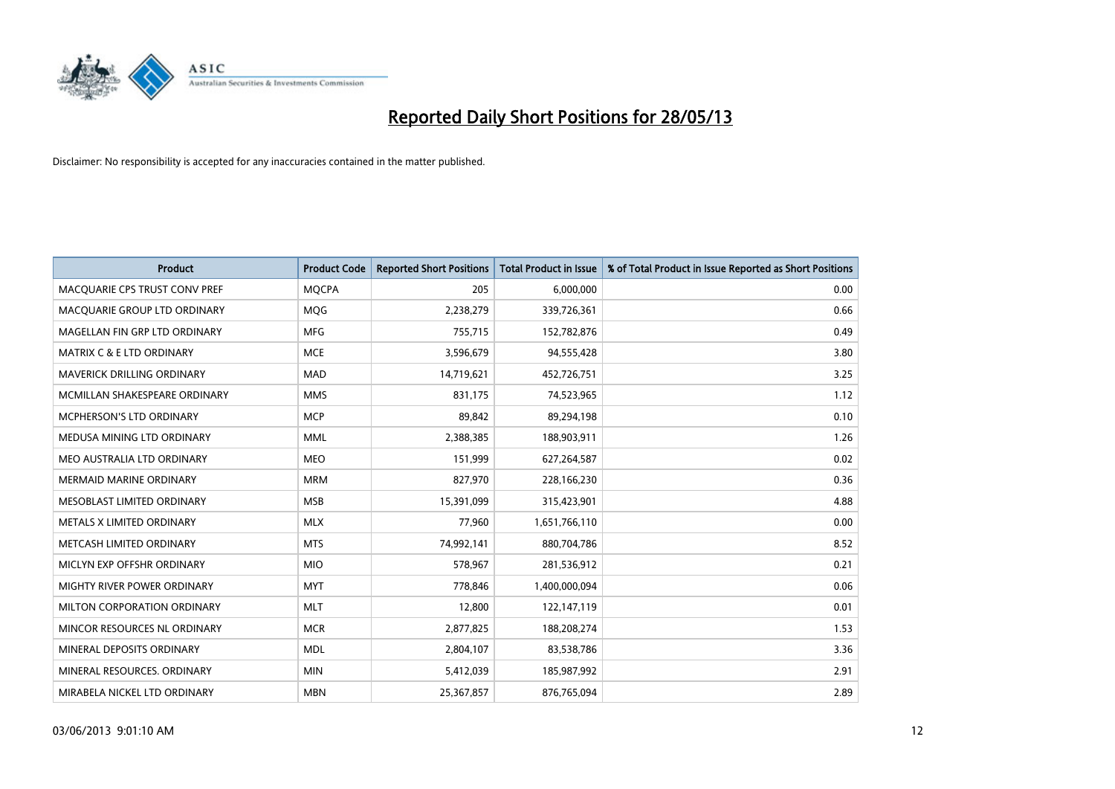

| <b>Product</b>                       | <b>Product Code</b> | <b>Reported Short Positions</b> | <b>Total Product in Issue</b> | % of Total Product in Issue Reported as Short Positions |
|--------------------------------------|---------------------|---------------------------------|-------------------------------|---------------------------------------------------------|
| MACQUARIE CPS TRUST CONV PREF        | <b>MQCPA</b>        | 205                             | 6,000,000                     | 0.00                                                    |
| MACQUARIE GROUP LTD ORDINARY         | <b>MQG</b>          | 2,238,279                       | 339,726,361                   | 0.66                                                    |
| MAGELLAN FIN GRP LTD ORDINARY        | <b>MFG</b>          | 755,715                         | 152,782,876                   | 0.49                                                    |
| <b>MATRIX C &amp; E LTD ORDINARY</b> | <b>MCE</b>          | 3,596,679                       | 94,555,428                    | 3.80                                                    |
| MAVERICK DRILLING ORDINARY           | <b>MAD</b>          | 14,719,621                      | 452,726,751                   | 3.25                                                    |
| MCMILLAN SHAKESPEARE ORDINARY        | <b>MMS</b>          | 831,175                         | 74,523,965                    | 1.12                                                    |
| <b>MCPHERSON'S LTD ORDINARY</b>      | <b>MCP</b>          | 89,842                          | 89,294,198                    | 0.10                                                    |
| MEDUSA MINING LTD ORDINARY           | <b>MML</b>          | 2,388,385                       | 188,903,911                   | 1.26                                                    |
| MEO AUSTRALIA LTD ORDINARY           | <b>MEO</b>          | 151,999                         | 627,264,587                   | 0.02                                                    |
| <b>MERMAID MARINE ORDINARY</b>       | <b>MRM</b>          | 827,970                         | 228,166,230                   | 0.36                                                    |
| MESOBLAST LIMITED ORDINARY           | <b>MSB</b>          | 15,391,099                      | 315,423,901                   | 4.88                                                    |
| METALS X LIMITED ORDINARY            | <b>MLX</b>          | 77,960                          | 1,651,766,110                 | 0.00                                                    |
| METCASH LIMITED ORDINARY             | <b>MTS</b>          | 74,992,141                      | 880,704,786                   | 8.52                                                    |
| MICLYN EXP OFFSHR ORDINARY           | <b>MIO</b>          | 578,967                         | 281,536,912                   | 0.21                                                    |
| MIGHTY RIVER POWER ORDINARY          | <b>MYT</b>          | 778,846                         | 1,400,000,094                 | 0.06                                                    |
| MILTON CORPORATION ORDINARY          | <b>MLT</b>          | 12,800                          | 122,147,119                   | 0.01                                                    |
| MINCOR RESOURCES NL ORDINARY         | <b>MCR</b>          | 2,877,825                       | 188,208,274                   | 1.53                                                    |
| MINERAL DEPOSITS ORDINARY            | <b>MDL</b>          | 2,804,107                       | 83,538,786                    | 3.36                                                    |
| MINERAL RESOURCES, ORDINARY          | <b>MIN</b>          | 5,412,039                       | 185,987,992                   | 2.91                                                    |
| MIRABELA NICKEL LTD ORDINARY         | <b>MBN</b>          | 25,367,857                      | 876,765,094                   | 2.89                                                    |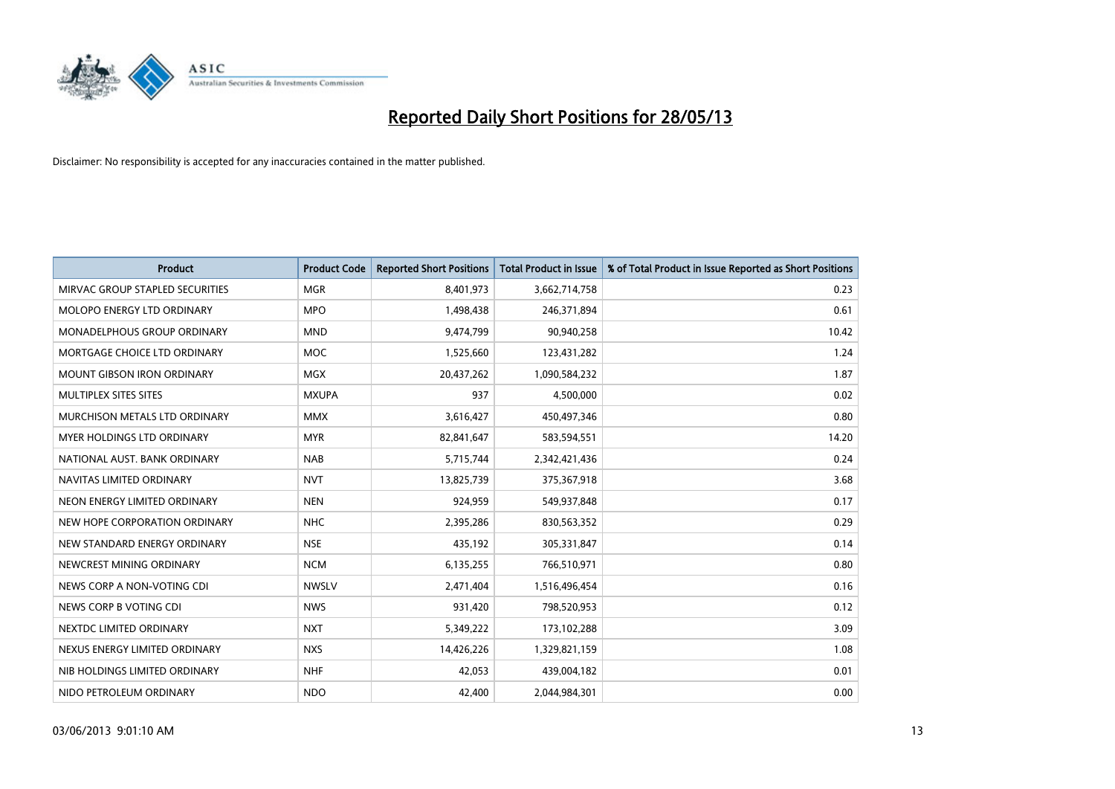

| <b>Product</b>                    | <b>Product Code</b> | <b>Reported Short Positions</b> | <b>Total Product in Issue</b> | % of Total Product in Issue Reported as Short Positions |
|-----------------------------------|---------------------|---------------------------------|-------------------------------|---------------------------------------------------------|
| MIRVAC GROUP STAPLED SECURITIES   | <b>MGR</b>          | 8,401,973                       | 3,662,714,758                 | 0.23                                                    |
| MOLOPO ENERGY LTD ORDINARY        | <b>MPO</b>          | 1,498,438                       | 246,371,894                   | 0.61                                                    |
| MONADELPHOUS GROUP ORDINARY       | <b>MND</b>          | 9,474,799                       | 90,940,258                    | 10.42                                                   |
| MORTGAGE CHOICE LTD ORDINARY      | <b>MOC</b>          | 1,525,660                       | 123,431,282                   | 1.24                                                    |
| <b>MOUNT GIBSON IRON ORDINARY</b> | MGX                 | 20,437,262                      | 1,090,584,232                 | 1.87                                                    |
| MULTIPLEX SITES SITES             | <b>MXUPA</b>        | 937                             | 4,500,000                     | 0.02                                                    |
| MURCHISON METALS LTD ORDINARY     | <b>MMX</b>          | 3,616,427                       | 450,497,346                   | 0.80                                                    |
| MYER HOLDINGS LTD ORDINARY        | <b>MYR</b>          | 82,841,647                      | 583,594,551                   | 14.20                                                   |
| NATIONAL AUST, BANK ORDINARY      | <b>NAB</b>          | 5,715,744                       | 2,342,421,436                 | 0.24                                                    |
| NAVITAS LIMITED ORDINARY          | <b>NVT</b>          | 13,825,739                      | 375,367,918                   | 3.68                                                    |
| NEON ENERGY LIMITED ORDINARY      | <b>NEN</b>          | 924,959                         | 549,937,848                   | 0.17                                                    |
| NEW HOPE CORPORATION ORDINARY     | <b>NHC</b>          | 2,395,286                       | 830,563,352                   | 0.29                                                    |
| NEW STANDARD ENERGY ORDINARY      | <b>NSE</b>          | 435,192                         | 305,331,847                   | 0.14                                                    |
| NEWCREST MINING ORDINARY          | <b>NCM</b>          | 6,135,255                       | 766,510,971                   | 0.80                                                    |
| NEWS CORP A NON-VOTING CDI        | <b>NWSLV</b>        | 2,471,404                       | 1,516,496,454                 | 0.16                                                    |
| NEWS CORP B VOTING CDI            | <b>NWS</b>          | 931,420                         | 798,520,953                   | 0.12                                                    |
| NEXTDC LIMITED ORDINARY           | <b>NXT</b>          | 5,349,222                       | 173,102,288                   | 3.09                                                    |
| NEXUS ENERGY LIMITED ORDINARY     | <b>NXS</b>          | 14,426,226                      | 1,329,821,159                 | 1.08                                                    |
| NIB HOLDINGS LIMITED ORDINARY     | <b>NHF</b>          | 42,053                          | 439,004,182                   | 0.01                                                    |
| NIDO PETROLEUM ORDINARY           | <b>NDO</b>          | 42,400                          | 2,044,984,301                 | 0.00                                                    |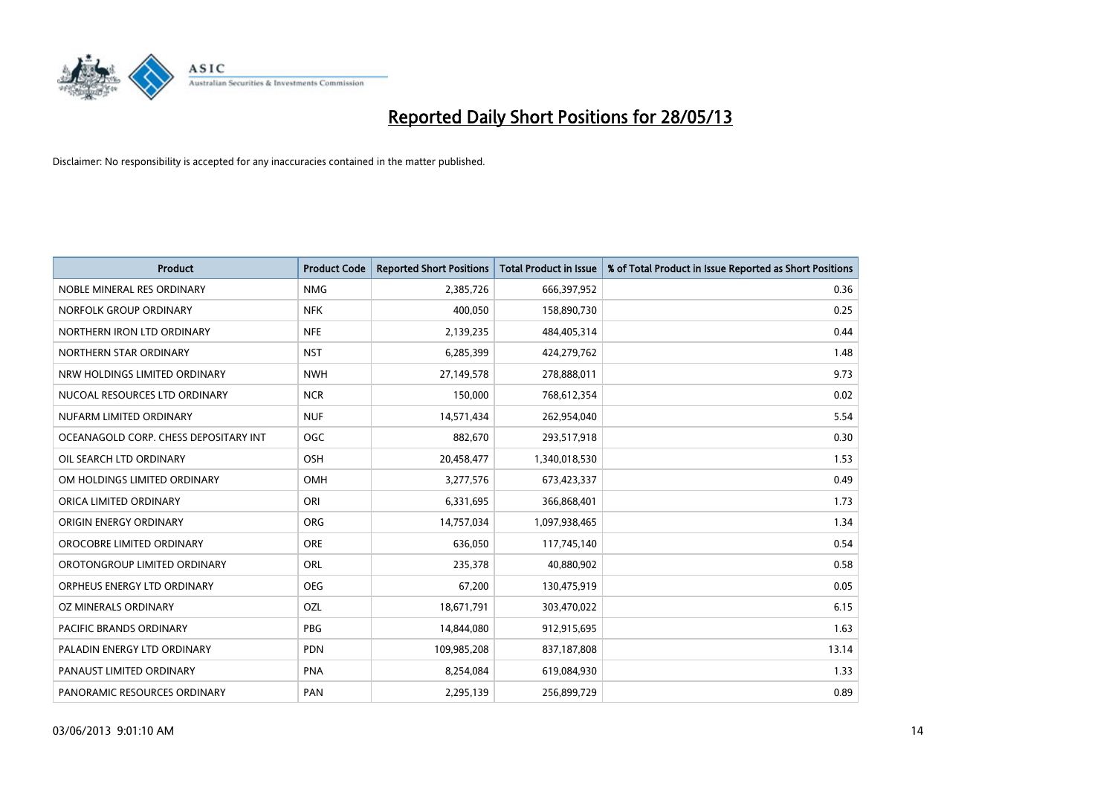

| <b>Product</b>                        | <b>Product Code</b> | <b>Reported Short Positions</b> | <b>Total Product in Issue</b> | % of Total Product in Issue Reported as Short Positions |
|---------------------------------------|---------------------|---------------------------------|-------------------------------|---------------------------------------------------------|
| NOBLE MINERAL RES ORDINARY            | <b>NMG</b>          | 2,385,726                       | 666,397,952                   | 0.36                                                    |
| NORFOLK GROUP ORDINARY                | <b>NFK</b>          | 400,050                         | 158,890,730                   | 0.25                                                    |
| NORTHERN IRON LTD ORDINARY            | <b>NFE</b>          | 2,139,235                       | 484,405,314                   | 0.44                                                    |
| NORTHERN STAR ORDINARY                | <b>NST</b>          | 6,285,399                       | 424,279,762                   | 1.48                                                    |
| NRW HOLDINGS LIMITED ORDINARY         | <b>NWH</b>          | 27,149,578                      | 278,888,011                   | 9.73                                                    |
| NUCOAL RESOURCES LTD ORDINARY         | <b>NCR</b>          | 150,000                         | 768,612,354                   | 0.02                                                    |
| NUFARM LIMITED ORDINARY               | <b>NUF</b>          | 14,571,434                      | 262,954,040                   | 5.54                                                    |
| OCEANAGOLD CORP. CHESS DEPOSITARY INT | <b>OGC</b>          | 882,670                         | 293,517,918                   | 0.30                                                    |
| OIL SEARCH LTD ORDINARY               | OSH                 | 20,458,477                      | 1,340,018,530                 | 1.53                                                    |
| OM HOLDINGS LIMITED ORDINARY          | <b>OMH</b>          | 3,277,576                       | 673,423,337                   | 0.49                                                    |
| ORICA LIMITED ORDINARY                | ORI                 | 6,331,695                       | 366,868,401                   | 1.73                                                    |
| ORIGIN ENERGY ORDINARY                | <b>ORG</b>          | 14,757,034                      | 1,097,938,465                 | 1.34                                                    |
| OROCOBRE LIMITED ORDINARY             | <b>ORE</b>          | 636,050                         | 117,745,140                   | 0.54                                                    |
| OROTONGROUP LIMITED ORDINARY          | ORL                 | 235,378                         | 40,880,902                    | 0.58                                                    |
| ORPHEUS ENERGY LTD ORDINARY           | <b>OEG</b>          | 67,200                          | 130,475,919                   | 0.05                                                    |
| OZ MINERALS ORDINARY                  | OZL                 | 18,671,791                      | 303,470,022                   | 6.15                                                    |
| PACIFIC BRANDS ORDINARY               | PBG                 | 14,844,080                      | 912,915,695                   | 1.63                                                    |
| PALADIN ENERGY LTD ORDINARY           | <b>PDN</b>          | 109,985,208                     | 837,187,808                   | 13.14                                                   |
| PANAUST LIMITED ORDINARY              | <b>PNA</b>          | 8,254,084                       | 619,084,930                   | 1.33                                                    |
| PANORAMIC RESOURCES ORDINARY          | PAN                 | 2,295,139                       | 256,899,729                   | 0.89                                                    |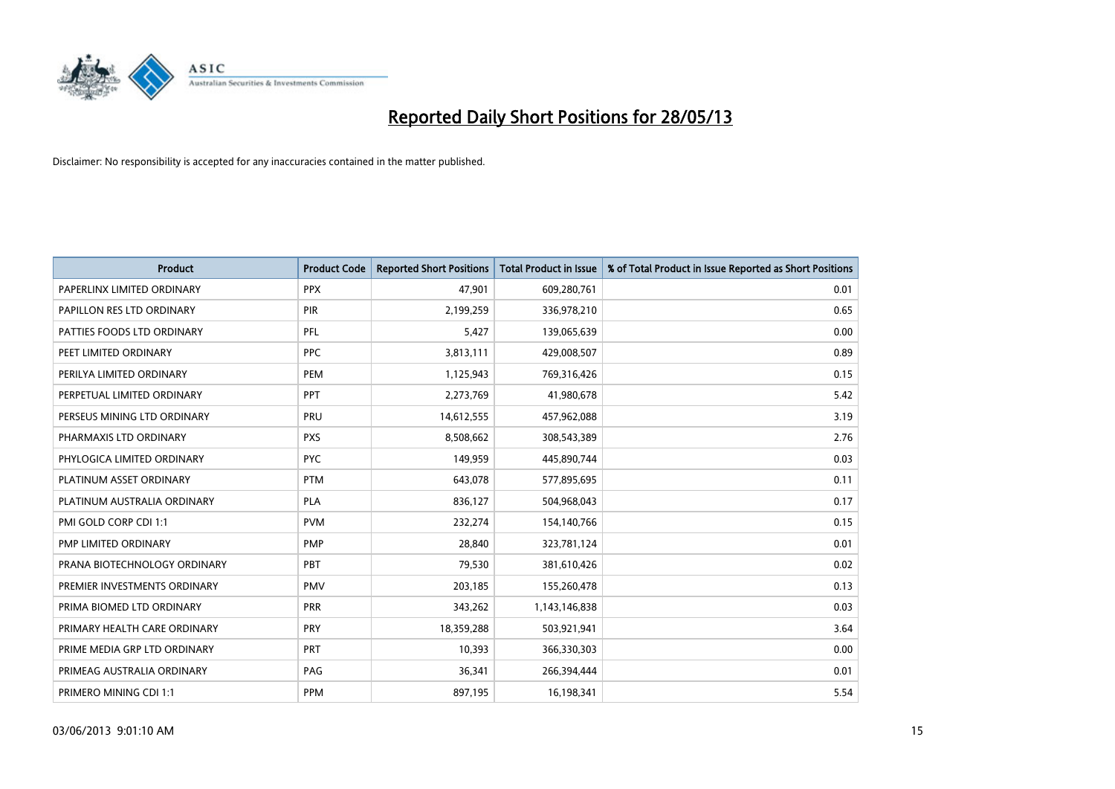

| <b>Product</b>               | <b>Product Code</b> | <b>Reported Short Positions</b> | <b>Total Product in Issue</b> | % of Total Product in Issue Reported as Short Positions |
|------------------------------|---------------------|---------------------------------|-------------------------------|---------------------------------------------------------|
| PAPERLINX LIMITED ORDINARY   | <b>PPX</b>          | 47,901                          | 609,280,761                   | 0.01                                                    |
| PAPILLON RES LTD ORDINARY    | <b>PIR</b>          | 2,199,259                       | 336,978,210                   | 0.65                                                    |
| PATTIES FOODS LTD ORDINARY   | PFL                 | 5,427                           | 139,065,639                   | 0.00                                                    |
| PEET LIMITED ORDINARY        | <b>PPC</b>          | 3,813,111                       | 429,008,507                   | 0.89                                                    |
| PERILYA LIMITED ORDINARY     | PEM                 | 1,125,943                       | 769,316,426                   | 0.15                                                    |
| PERPETUAL LIMITED ORDINARY   | PPT                 | 2,273,769                       | 41,980,678                    | 5.42                                                    |
| PERSEUS MINING LTD ORDINARY  | PRU                 | 14,612,555                      | 457,962,088                   | 3.19                                                    |
| PHARMAXIS LTD ORDINARY       | <b>PXS</b>          | 8,508,662                       | 308,543,389                   | 2.76                                                    |
| PHYLOGICA LIMITED ORDINARY   | <b>PYC</b>          | 149,959                         | 445,890,744                   | 0.03                                                    |
| PLATINUM ASSET ORDINARY      | <b>PTM</b>          | 643,078                         | 577,895,695                   | 0.11                                                    |
| PLATINUM AUSTRALIA ORDINARY  | <b>PLA</b>          | 836,127                         | 504,968,043                   | 0.17                                                    |
| PMI GOLD CORP CDI 1:1        | <b>PVM</b>          | 232,274                         | 154,140,766                   | 0.15                                                    |
| PMP LIMITED ORDINARY         | <b>PMP</b>          | 28,840                          | 323,781,124                   | 0.01                                                    |
| PRANA BIOTECHNOLOGY ORDINARY | <b>PBT</b>          | 79,530                          | 381,610,426                   | 0.02                                                    |
| PREMIER INVESTMENTS ORDINARY | <b>PMV</b>          | 203,185                         | 155,260,478                   | 0.13                                                    |
| PRIMA BIOMED LTD ORDINARY    | <b>PRR</b>          | 343,262                         | 1,143,146,838                 | 0.03                                                    |
| PRIMARY HEALTH CARE ORDINARY | <b>PRY</b>          | 18,359,288                      | 503,921,941                   | 3.64                                                    |
| PRIME MEDIA GRP LTD ORDINARY | PRT                 | 10,393                          | 366,330,303                   | 0.00                                                    |
| PRIMEAG AUSTRALIA ORDINARY   | PAG                 | 36,341                          | 266,394,444                   | 0.01                                                    |
| PRIMERO MINING CDI 1:1       | PPM                 | 897,195                         | 16,198,341                    | 5.54                                                    |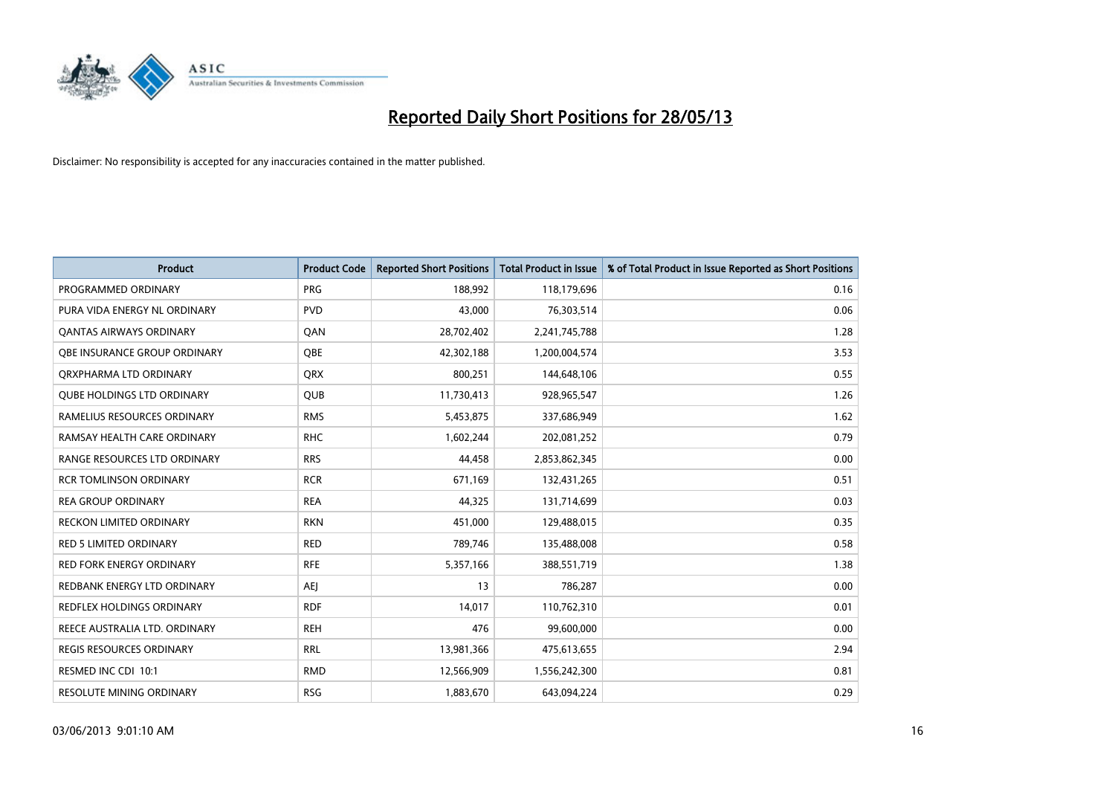

| <b>Product</b>                    | <b>Product Code</b> | <b>Reported Short Positions</b> | <b>Total Product in Issue</b> | % of Total Product in Issue Reported as Short Positions |
|-----------------------------------|---------------------|---------------------------------|-------------------------------|---------------------------------------------------------|
| PROGRAMMED ORDINARY               | <b>PRG</b>          | 188,992                         | 118,179,696                   | 0.16                                                    |
| PURA VIDA ENERGY NL ORDINARY      | <b>PVD</b>          | 43,000                          | 76,303,514                    | 0.06                                                    |
| OANTAS AIRWAYS ORDINARY           | QAN                 | 28,702,402                      | 2,241,745,788                 | 1.28                                                    |
| OBE INSURANCE GROUP ORDINARY      | <b>OBE</b>          | 42,302,188                      | 1,200,004,574                 | 3.53                                                    |
| ORXPHARMA LTD ORDINARY            | <b>QRX</b>          | 800,251                         | 144,648,106                   | 0.55                                                    |
| <b>QUBE HOLDINGS LTD ORDINARY</b> | <b>QUB</b>          | 11,730,413                      | 928,965,547                   | 1.26                                                    |
| RAMELIUS RESOURCES ORDINARY       | <b>RMS</b>          | 5,453,875                       | 337,686,949                   | 1.62                                                    |
| RAMSAY HEALTH CARE ORDINARY       | <b>RHC</b>          | 1,602,244                       | 202,081,252                   | 0.79                                                    |
| RANGE RESOURCES LTD ORDINARY      | <b>RRS</b>          | 44,458                          | 2,853,862,345                 | 0.00                                                    |
| <b>RCR TOMLINSON ORDINARY</b>     | <b>RCR</b>          | 671,169                         | 132,431,265                   | 0.51                                                    |
| <b>REA GROUP ORDINARY</b>         | <b>REA</b>          | 44,325                          | 131,714,699                   | 0.03                                                    |
| <b>RECKON LIMITED ORDINARY</b>    | <b>RKN</b>          | 451,000                         | 129,488,015                   | 0.35                                                    |
| <b>RED 5 LIMITED ORDINARY</b>     | <b>RED</b>          | 789,746                         | 135,488,008                   | 0.58                                                    |
| <b>RED FORK ENERGY ORDINARY</b>   | <b>RFE</b>          | 5,357,166                       | 388,551,719                   | 1.38                                                    |
| REDBANK ENERGY LTD ORDINARY       | <b>AEJ</b>          | 13                              | 786,287                       | 0.00                                                    |
| REDFLEX HOLDINGS ORDINARY         | <b>RDF</b>          | 14,017                          | 110,762,310                   | 0.01                                                    |
| REECE AUSTRALIA LTD. ORDINARY     | <b>REH</b>          | 476                             | 99,600,000                    | 0.00                                                    |
| REGIS RESOURCES ORDINARY          | <b>RRL</b>          | 13,981,366                      | 475,613,655                   | 2.94                                                    |
| RESMED INC CDI 10:1               | <b>RMD</b>          | 12,566,909                      | 1,556,242,300                 | 0.81                                                    |
| <b>RESOLUTE MINING ORDINARY</b>   | <b>RSG</b>          | 1,883,670                       | 643,094,224                   | 0.29                                                    |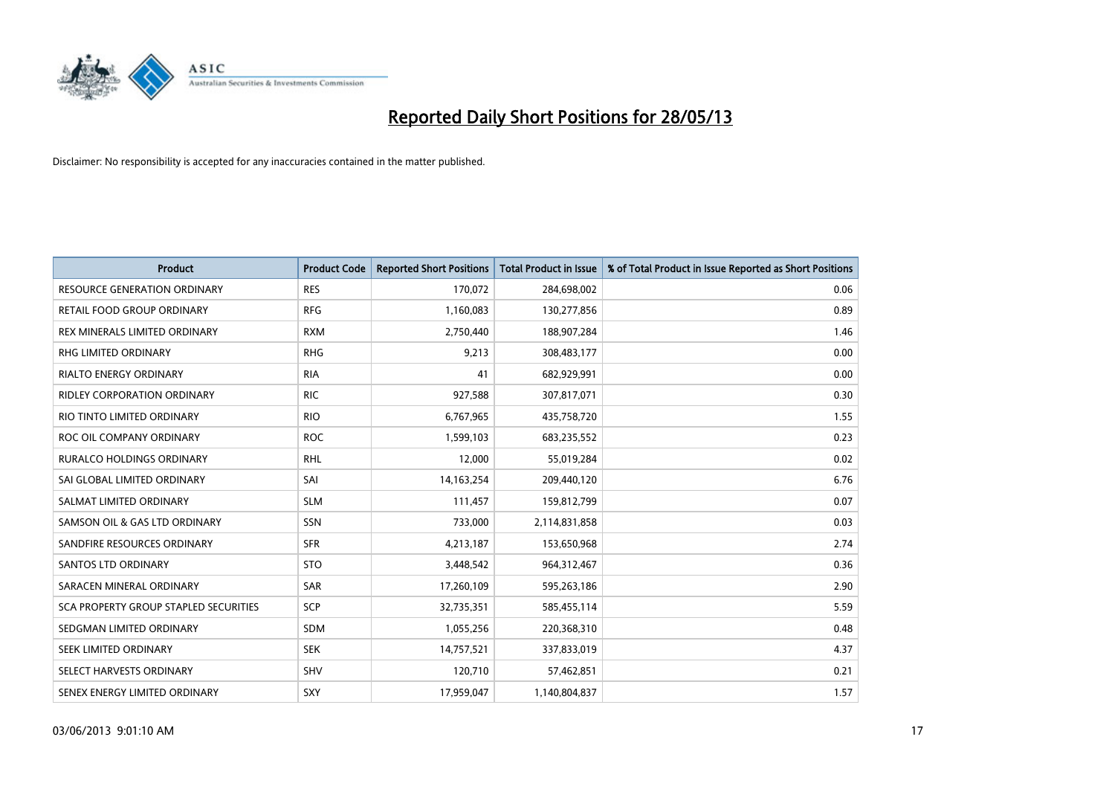

| <b>Product</b>                               | <b>Product Code</b> | <b>Reported Short Positions</b> | <b>Total Product in Issue</b> | % of Total Product in Issue Reported as Short Positions |
|----------------------------------------------|---------------------|---------------------------------|-------------------------------|---------------------------------------------------------|
| <b>RESOURCE GENERATION ORDINARY</b>          | <b>RES</b>          | 170,072                         | 284,698,002                   | 0.06                                                    |
| RETAIL FOOD GROUP ORDINARY                   | <b>RFG</b>          | 1,160,083                       | 130,277,856                   | 0.89                                                    |
| REX MINERALS LIMITED ORDINARY                | <b>RXM</b>          | 2,750,440                       | 188,907,284                   | 1.46                                                    |
| <b>RHG LIMITED ORDINARY</b>                  | <b>RHG</b>          | 9,213                           | 308,483,177                   | 0.00                                                    |
| <b>RIALTO ENERGY ORDINARY</b>                | <b>RIA</b>          | 41                              | 682,929,991                   | 0.00                                                    |
| <b>RIDLEY CORPORATION ORDINARY</b>           | <b>RIC</b>          | 927,588                         | 307,817,071                   | 0.30                                                    |
| RIO TINTO LIMITED ORDINARY                   | <b>RIO</b>          | 6,767,965                       | 435,758,720                   | 1.55                                                    |
| ROC OIL COMPANY ORDINARY                     | <b>ROC</b>          | 1,599,103                       | 683,235,552                   | 0.23                                                    |
| <b>RURALCO HOLDINGS ORDINARY</b>             | <b>RHL</b>          | 12,000                          | 55,019,284                    | 0.02                                                    |
| SAI GLOBAL LIMITED ORDINARY                  | SAI                 | 14, 163, 254                    | 209,440,120                   | 6.76                                                    |
| SALMAT LIMITED ORDINARY                      | <b>SLM</b>          | 111,457                         | 159,812,799                   | 0.07                                                    |
| SAMSON OIL & GAS LTD ORDINARY                | SSN                 | 733,000                         | 2,114,831,858                 | 0.03                                                    |
| SANDFIRE RESOURCES ORDINARY                  | <b>SFR</b>          | 4,213,187                       | 153,650,968                   | 2.74                                                    |
| <b>SANTOS LTD ORDINARY</b>                   | <b>STO</b>          | 3,448,542                       | 964,312,467                   | 0.36                                                    |
| SARACEN MINERAL ORDINARY                     | SAR                 | 17,260,109                      | 595,263,186                   | 2.90                                                    |
| <b>SCA PROPERTY GROUP STAPLED SECURITIES</b> | SCP                 | 32,735,351                      | 585,455,114                   | 5.59                                                    |
| SEDGMAN LIMITED ORDINARY                     | SDM                 | 1,055,256                       | 220,368,310                   | 0.48                                                    |
| SEEK LIMITED ORDINARY                        | <b>SEK</b>          | 14,757,521                      | 337,833,019                   | 4.37                                                    |
| SELECT HARVESTS ORDINARY                     | <b>SHV</b>          | 120,710                         | 57,462,851                    | 0.21                                                    |
| SENEX ENERGY LIMITED ORDINARY                | SXY                 | 17,959,047                      | 1,140,804,837                 | 1.57                                                    |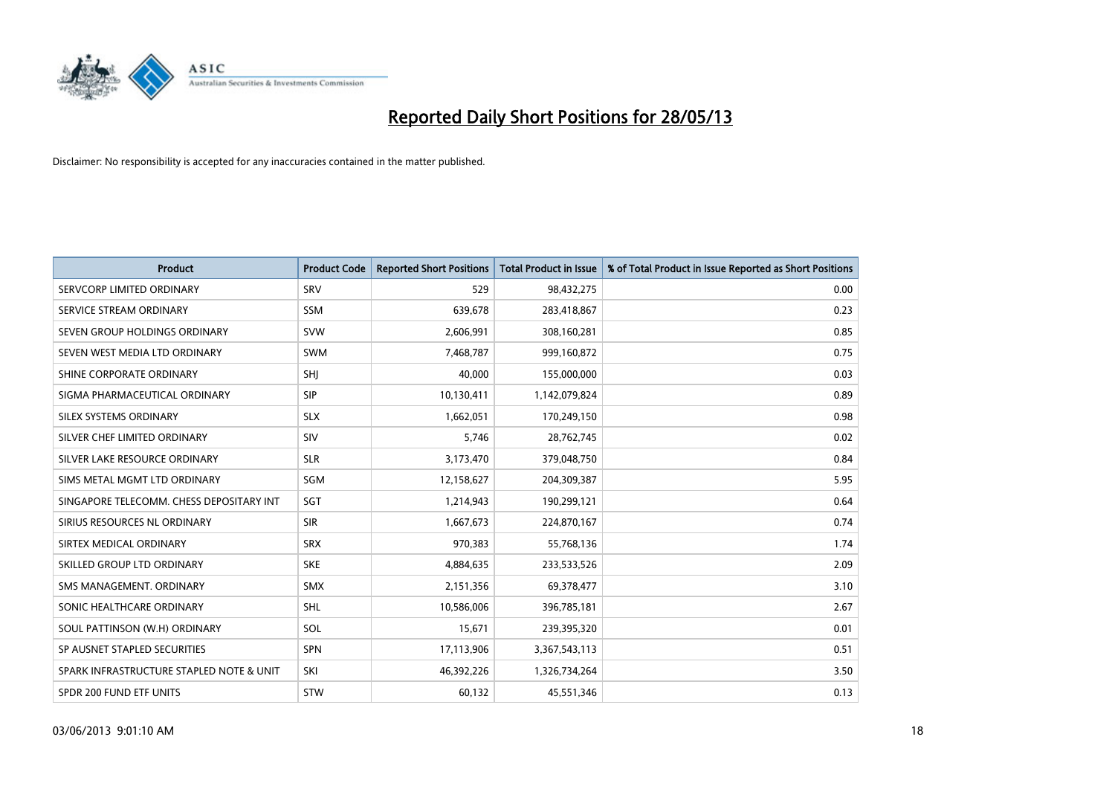

| <b>Product</b>                           | <b>Product Code</b> | <b>Reported Short Positions</b> | <b>Total Product in Issue</b> | % of Total Product in Issue Reported as Short Positions |
|------------------------------------------|---------------------|---------------------------------|-------------------------------|---------------------------------------------------------|
| SERVCORP LIMITED ORDINARY                | SRV                 | 529                             | 98,432,275                    | 0.00                                                    |
| SERVICE STREAM ORDINARY                  | <b>SSM</b>          | 639,678                         | 283,418,867                   | 0.23                                                    |
| SEVEN GROUP HOLDINGS ORDINARY            | <b>SVW</b>          | 2,606,991                       | 308,160,281                   | 0.85                                                    |
| SEVEN WEST MEDIA LTD ORDINARY            | <b>SWM</b>          | 7,468,787                       | 999,160,872                   | 0.75                                                    |
| SHINE CORPORATE ORDINARY                 | SHI                 | 40,000                          | 155,000,000                   | 0.03                                                    |
| SIGMA PHARMACEUTICAL ORDINARY            | <b>SIP</b>          | 10,130,411                      | 1,142,079,824                 | 0.89                                                    |
| SILEX SYSTEMS ORDINARY                   | <b>SLX</b>          | 1,662,051                       | 170,249,150                   | 0.98                                                    |
| SILVER CHEF LIMITED ORDINARY             | SIV                 | 5,746                           | 28,762,745                    | 0.02                                                    |
| SILVER LAKE RESOURCE ORDINARY            | <b>SLR</b>          | 3,173,470                       | 379,048,750                   | 0.84                                                    |
| SIMS METAL MGMT LTD ORDINARY             | SGM                 | 12,158,627                      | 204,309,387                   | 5.95                                                    |
| SINGAPORE TELECOMM. CHESS DEPOSITARY INT | SGT                 | 1,214,943                       | 190,299,121                   | 0.64                                                    |
| SIRIUS RESOURCES NL ORDINARY             | <b>SIR</b>          | 1,667,673                       | 224,870,167                   | 0.74                                                    |
| SIRTEX MEDICAL ORDINARY                  | <b>SRX</b>          | 970,383                         | 55,768,136                    | 1.74                                                    |
| SKILLED GROUP LTD ORDINARY               | <b>SKE</b>          | 4,884,635                       | 233,533,526                   | 2.09                                                    |
| SMS MANAGEMENT, ORDINARY                 | <b>SMX</b>          | 2,151,356                       | 69,378,477                    | 3.10                                                    |
| SONIC HEALTHCARE ORDINARY                | SHL                 | 10,586,006                      | 396,785,181                   | 2.67                                                    |
| SOUL PATTINSON (W.H) ORDINARY            | SOL                 | 15,671                          | 239,395,320                   | 0.01                                                    |
| SP AUSNET STAPLED SECURITIES             | <b>SPN</b>          | 17,113,906                      | 3,367,543,113                 | 0.51                                                    |
| SPARK INFRASTRUCTURE STAPLED NOTE & UNIT | SKI                 | 46,392,226                      | 1,326,734,264                 | 3.50                                                    |
| SPDR 200 FUND ETF UNITS                  | <b>STW</b>          | 60,132                          | 45,551,346                    | 0.13                                                    |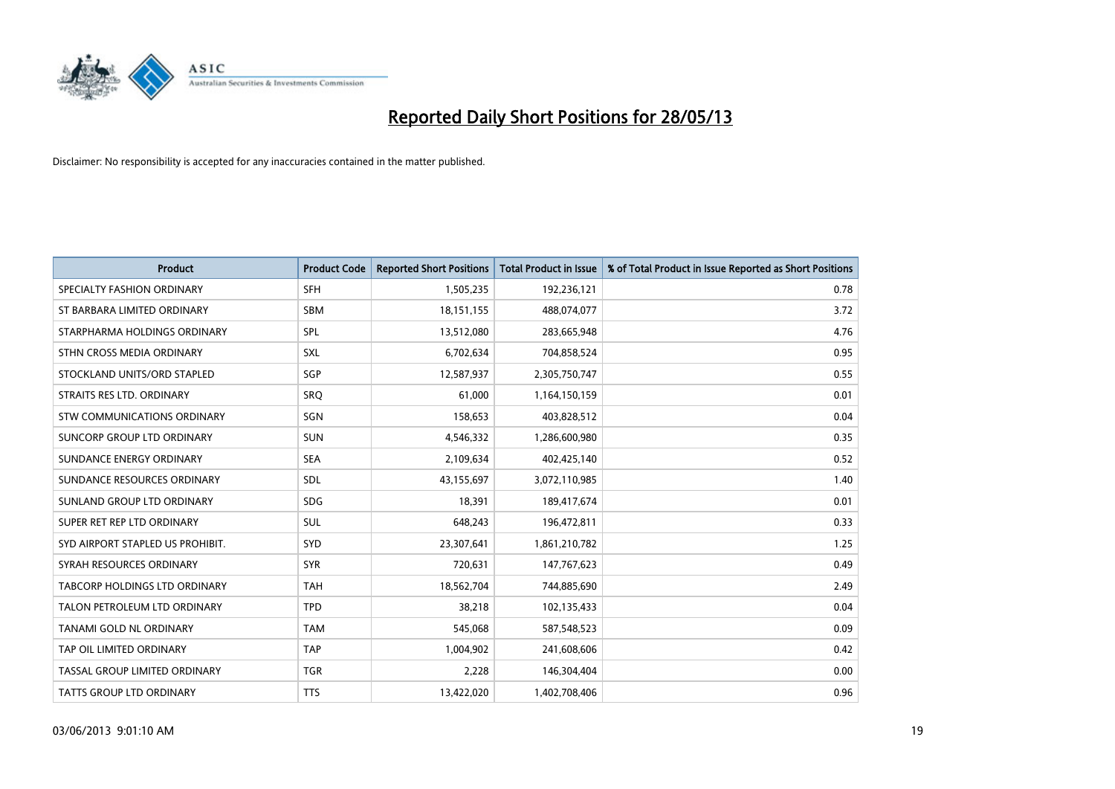

| <b>Product</b>                   | <b>Product Code</b> | <b>Reported Short Positions</b> | <b>Total Product in Issue</b> | % of Total Product in Issue Reported as Short Positions |
|----------------------------------|---------------------|---------------------------------|-------------------------------|---------------------------------------------------------|
| SPECIALTY FASHION ORDINARY       | <b>SFH</b>          | 1,505,235                       | 192,236,121                   | 0.78                                                    |
| ST BARBARA LIMITED ORDINARY      | <b>SBM</b>          | 18,151,155                      | 488,074,077                   | 3.72                                                    |
| STARPHARMA HOLDINGS ORDINARY     | <b>SPL</b>          | 13,512,080                      | 283,665,948                   | 4.76                                                    |
| STHN CROSS MEDIA ORDINARY        | <b>SXL</b>          | 6,702,634                       | 704,858,524                   | 0.95                                                    |
| STOCKLAND UNITS/ORD STAPLED      | SGP                 | 12,587,937                      | 2,305,750,747                 | 0.55                                                    |
| STRAITS RES LTD. ORDINARY        | SRO                 | 61,000                          | 1,164,150,159                 | 0.01                                                    |
| STW COMMUNICATIONS ORDINARY      | SGN                 | 158,653                         | 403,828,512                   | 0.04                                                    |
| SUNCORP GROUP LTD ORDINARY       | <b>SUN</b>          | 4,546,332                       | 1,286,600,980                 | 0.35                                                    |
| SUNDANCE ENERGY ORDINARY         | <b>SEA</b>          | 2,109,634                       | 402,425,140                   | 0.52                                                    |
| SUNDANCE RESOURCES ORDINARY      | <b>SDL</b>          | 43,155,697                      | 3,072,110,985                 | 1.40                                                    |
| SUNLAND GROUP LTD ORDINARY       | <b>SDG</b>          | 18,391                          | 189,417,674                   | 0.01                                                    |
| SUPER RET REP LTD ORDINARY       | <b>SUL</b>          | 648,243                         | 196,472,811                   | 0.33                                                    |
| SYD AIRPORT STAPLED US PROHIBIT. | <b>SYD</b>          | 23,307,641                      | 1,861,210,782                 | 1.25                                                    |
| SYRAH RESOURCES ORDINARY         | <b>SYR</b>          | 720,631                         | 147,767,623                   | 0.49                                                    |
| TABCORP HOLDINGS LTD ORDINARY    | <b>TAH</b>          | 18,562,704                      | 744,885,690                   | 2.49                                                    |
| TALON PETROLEUM LTD ORDINARY     | <b>TPD</b>          | 38,218                          | 102,135,433                   | 0.04                                                    |
| TANAMI GOLD NL ORDINARY          | <b>TAM</b>          | 545,068                         | 587,548,523                   | 0.09                                                    |
| TAP OIL LIMITED ORDINARY         | <b>TAP</b>          | 1,004,902                       | 241,608,606                   | 0.42                                                    |
| TASSAL GROUP LIMITED ORDINARY    | <b>TGR</b>          | 2,228                           | 146,304,404                   | 0.00                                                    |
| TATTS GROUP LTD ORDINARY         | <b>TTS</b>          | 13,422,020                      | 1,402,708,406                 | 0.96                                                    |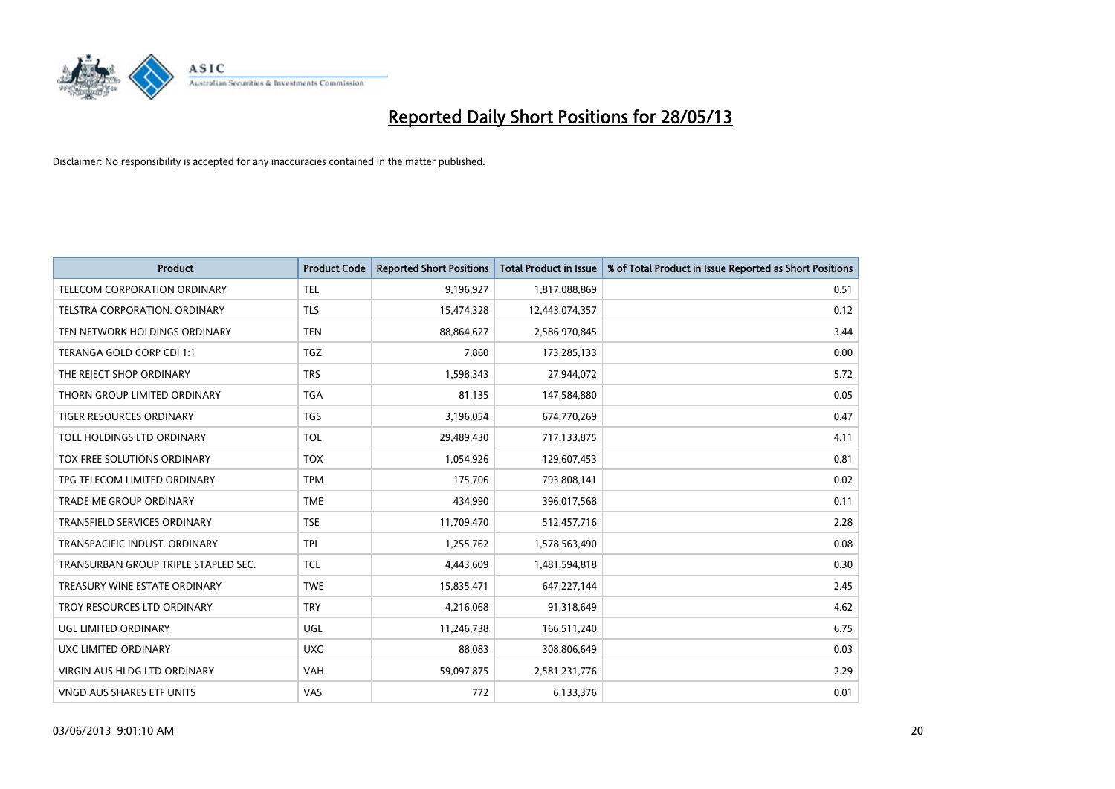

| <b>Product</b>                       | <b>Product Code</b> | <b>Reported Short Positions</b> | <b>Total Product in Issue</b> | % of Total Product in Issue Reported as Short Positions |
|--------------------------------------|---------------------|---------------------------------|-------------------------------|---------------------------------------------------------|
| TELECOM CORPORATION ORDINARY         | <b>TEL</b>          | 9,196,927                       | 1,817,088,869                 | 0.51                                                    |
| TELSTRA CORPORATION. ORDINARY        | <b>TLS</b>          | 15,474,328                      | 12,443,074,357                | 0.12                                                    |
| TEN NETWORK HOLDINGS ORDINARY        | <b>TEN</b>          | 88,864,627                      | 2,586,970,845                 | 3.44                                                    |
| TERANGA GOLD CORP CDI 1:1            | <b>TGZ</b>          | 7.860                           | 173,285,133                   | 0.00                                                    |
| THE REJECT SHOP ORDINARY             | <b>TRS</b>          | 1,598,343                       | 27,944,072                    | 5.72                                                    |
| THORN GROUP LIMITED ORDINARY         | <b>TGA</b>          | 81,135                          | 147,584,880                   | 0.05                                                    |
| TIGER RESOURCES ORDINARY             | <b>TGS</b>          | 3,196,054                       | 674,770,269                   | 0.47                                                    |
| TOLL HOLDINGS LTD ORDINARY           | <b>TOL</b>          | 29,489,430                      | 717,133,875                   | 4.11                                                    |
| TOX FREE SOLUTIONS ORDINARY          | <b>TOX</b>          | 1,054,926                       | 129,607,453                   | 0.81                                                    |
| TPG TELECOM LIMITED ORDINARY         | <b>TPM</b>          | 175,706                         | 793,808,141                   | 0.02                                                    |
| TRADE ME GROUP ORDINARY              | <b>TME</b>          | 434,990                         | 396,017,568                   | 0.11                                                    |
| <b>TRANSFIELD SERVICES ORDINARY</b>  | <b>TSE</b>          | 11,709,470                      | 512,457,716                   | 2.28                                                    |
| TRANSPACIFIC INDUST. ORDINARY        | <b>TPI</b>          | 1,255,762                       | 1,578,563,490                 | 0.08                                                    |
| TRANSURBAN GROUP TRIPLE STAPLED SEC. | TCL                 | 4,443,609                       | 1,481,594,818                 | 0.30                                                    |
| TREASURY WINE ESTATE ORDINARY        | <b>TWE</b>          | 15,835,471                      | 647,227,144                   | 2.45                                                    |
| TROY RESOURCES LTD ORDINARY          | <b>TRY</b>          | 4,216,068                       | 91,318,649                    | 4.62                                                    |
| UGL LIMITED ORDINARY                 | UGL                 | 11,246,738                      | 166,511,240                   | 6.75                                                    |
| <b>UXC LIMITED ORDINARY</b>          | <b>UXC</b>          | 88.083                          | 308,806,649                   | 0.03                                                    |
| VIRGIN AUS HLDG LTD ORDINARY         | <b>VAH</b>          | 59,097,875                      | 2,581,231,776                 | 2.29                                                    |
| VNGD AUS SHARES ETF UNITS            | <b>VAS</b>          | 772                             | 6,133,376                     | 0.01                                                    |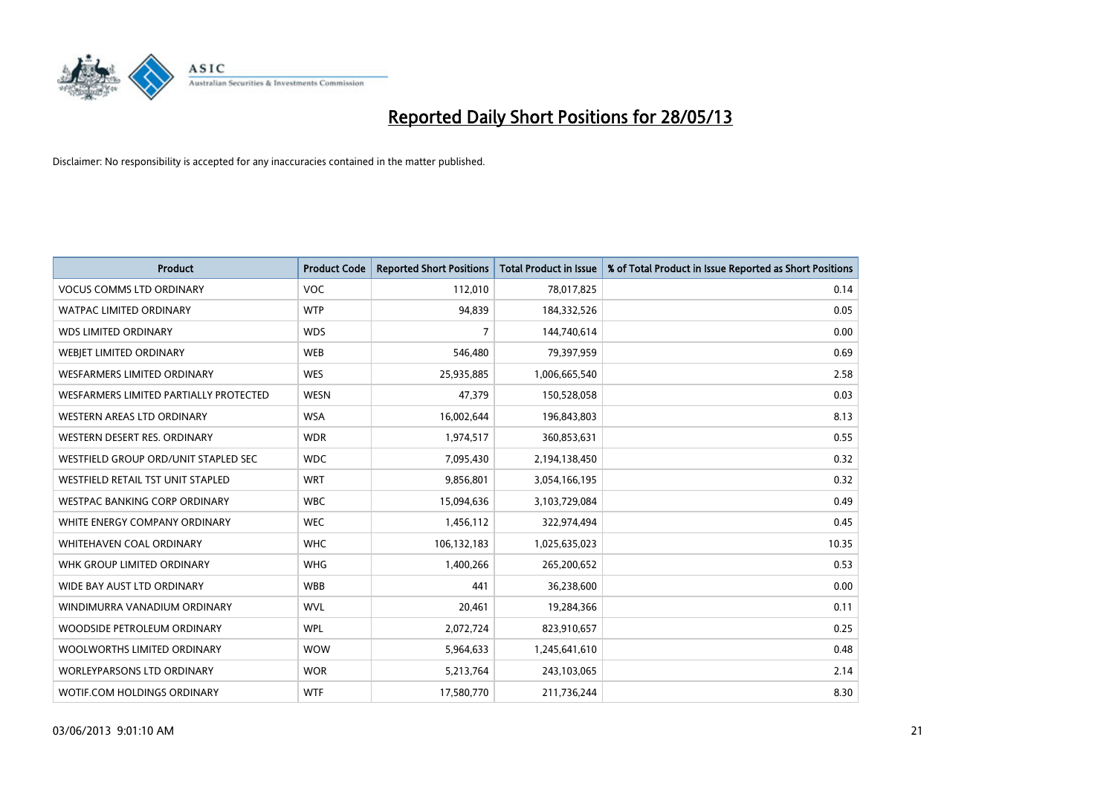

| <b>Product</b>                         | <b>Product Code</b> | <b>Reported Short Positions</b> | <b>Total Product in Issue</b> | % of Total Product in Issue Reported as Short Positions |
|----------------------------------------|---------------------|---------------------------------|-------------------------------|---------------------------------------------------------|
| <b>VOCUS COMMS LTD ORDINARY</b>        | <b>VOC</b>          | 112,010                         | 78,017,825                    | 0.14                                                    |
| <b>WATPAC LIMITED ORDINARY</b>         | <b>WTP</b>          | 94,839                          | 184,332,526                   | 0.05                                                    |
| <b>WDS LIMITED ORDINARY</b>            | <b>WDS</b>          | $\overline{7}$                  | 144,740,614                   | 0.00                                                    |
| WEBIET LIMITED ORDINARY                | <b>WEB</b>          | 546,480                         | 79,397,959                    | 0.69                                                    |
| <b>WESFARMERS LIMITED ORDINARY</b>     | <b>WES</b>          | 25,935,885                      | 1,006,665,540                 | 2.58                                                    |
| WESFARMERS LIMITED PARTIALLY PROTECTED | <b>WESN</b>         | 47,379                          | 150,528,058                   | 0.03                                                    |
| WESTERN AREAS LTD ORDINARY             | <b>WSA</b>          | 16,002,644                      | 196,843,803                   | 8.13                                                    |
| WESTERN DESERT RES. ORDINARY           | <b>WDR</b>          | 1,974,517                       | 360,853,631                   | 0.55                                                    |
| WESTFIELD GROUP ORD/UNIT STAPLED SEC   | <b>WDC</b>          | 7,095,430                       | 2,194,138,450                 | 0.32                                                    |
| WESTFIELD RETAIL TST UNIT STAPLED      | <b>WRT</b>          | 9,856,801                       | 3,054,166,195                 | 0.32                                                    |
| <b>WESTPAC BANKING CORP ORDINARY</b>   | <b>WBC</b>          | 15,094,636                      | 3,103,729,084                 | 0.49                                                    |
| WHITE ENERGY COMPANY ORDINARY          | <b>WEC</b>          | 1,456,112                       | 322,974,494                   | 0.45                                                    |
| WHITEHAVEN COAL ORDINARY               | <b>WHC</b>          | 106,132,183                     | 1,025,635,023                 | 10.35                                                   |
| WHK GROUP LIMITED ORDINARY             | <b>WHG</b>          | 1,400,266                       | 265,200,652                   | 0.53                                                    |
| WIDE BAY AUST LTD ORDINARY             | <b>WBB</b>          | 441                             | 36,238,600                    | 0.00                                                    |
| WINDIMURRA VANADIUM ORDINARY           | <b>WVL</b>          | 20,461                          | 19,284,366                    | 0.11                                                    |
| WOODSIDE PETROLEUM ORDINARY            | <b>WPL</b>          | 2,072,724                       | 823,910,657                   | 0.25                                                    |
| WOOLWORTHS LIMITED ORDINARY            | <b>WOW</b>          | 5,964,633                       | 1,245,641,610                 | 0.48                                                    |
| <b>WORLEYPARSONS LTD ORDINARY</b>      | <b>WOR</b>          | 5,213,764                       | 243,103,065                   | 2.14                                                    |
| WOTIF.COM HOLDINGS ORDINARY            | <b>WTF</b>          | 17,580,770                      | 211,736,244                   | 8.30                                                    |